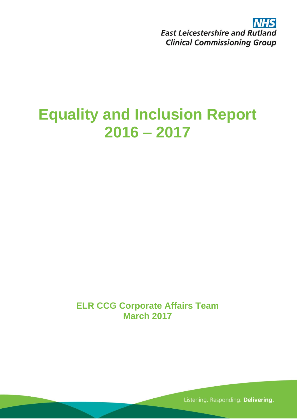**NHS East Leicestershire and Rutland Clinical Commissioning Group** 

# **Equality and Inclusion Report 2016 – 2017**

**ELR CCG Corporate Affairs Team March 2017**

Listening. Responding. Delivering.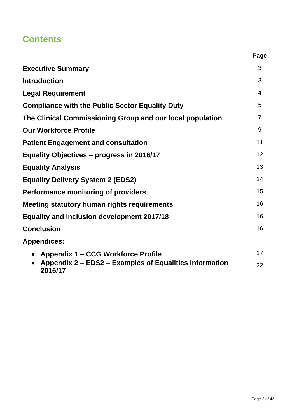# **Contents**

|                                                                   | Page           |
|-------------------------------------------------------------------|----------------|
| <b>Executive Summary</b>                                          | 3              |
| <b>Introduction</b>                                               | 3              |
| <b>Legal Requirement</b>                                          | $\overline{4}$ |
| <b>Compliance with the Public Sector Equality Duty</b>            | 5              |
| The Clinical Commissioning Group and our local population         | $\overline{7}$ |
| <b>Our Workforce Profile</b>                                      | 9              |
| <b>Patient Engagement and consultation</b>                        | 11             |
| Equality Objectives - progress in 2016/17                         | 12             |
| <b>Equality Analysis</b>                                          | 13             |
| <b>Equality Delivery System 2 (EDS2)</b>                          | 14             |
| <b>Performance monitoring of providers</b>                        | 15             |
| <b>Meeting statutory human rights requirements</b>                | 16             |
| <b>Equality and inclusion development 2017/18</b>                 | 16             |
| <b>Conclusion</b>                                                 | 16             |
| <b>Appendices:</b>                                                |                |
| <b>Appendix 1 – CCG Workforce Profile</b>                         | 17             |
| Appendix 2 - EDS2 - Examples of Equalities Information<br>2016/17 | 22             |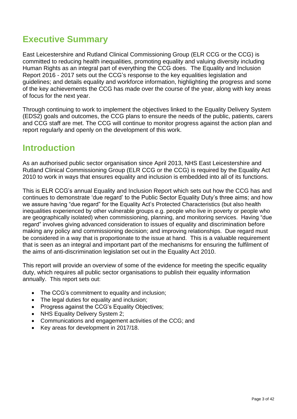## **Executive Summary**

East Leicestershire and Rutland Clinical Commissioning Group (ELR CCG or the CCG) is committed to reducing health inequalities, promoting equality and valuing diversity including Human Rights as an integral part of everything the CCG does. The Equality and Inclusion Report 2016 - 2017 sets out the CCG's response to the key equalities legislation and guidelines; and details equality and workforce information, highlighting the progress and some of the key achievements the CCG has made over the course of the year, along with key areas of focus for the next year.

Through continuing to work to implement the objectives linked to the Equality Delivery System (EDS2) goals and outcomes, the CCG plans to ensure the needs of the public, patients, carers and CCG staff are met. The CCG will continue to monitor progress against the action plan and report regularly and openly on the development of this work.

### **Introduction**

As an authorised public sector organisation since April 2013, NHS East Leicestershire and Rutland Clinical Commissioning Group (ELR CCG or the CCG) is required by the Equality Act 2010 to work in ways that ensures equality and inclusion is embedded into all of its functions.

This is ELR CCG's annual Equality and Inclusion Report which sets out how the CCG has and continues to demonstrate 'due regard' to the Public Sector Equality Duty's three aims; and how we assure having "due regard" for the Equality Act's Protected Characteristics (but also health inequalities experienced by other vulnerable groups e.g. people who live in poverty or people who are geographically isolated) when commissioning, planning, and monitoring services. Having "due regard" involves giving advanced consideration to issues of equality and discrimination before making any policy and commissioning decision; and improving relationships. Due regard must be considered in a way that is proportionate to the issue at hand. This is a valuable requirement that is seen as an integral and important part of the mechanisms for ensuring the fulfilment of the aims of anti-discrimination legislation set out in the Equality Act 2010.

This report will provide an overview of some of the evidence for meeting the specific equality duty, which requires all public sector organisations to publish their equality information annually. This report sets out:

- The CCG's commitment to equality and inclusion:
- The legal duties for equality and inclusion;
- Progress against the CCG's Equality Objectives;
- NHS Equality Delivery System 2;
- Communications and engagement activities of the CCG; and
- Key areas for development in 2017/18.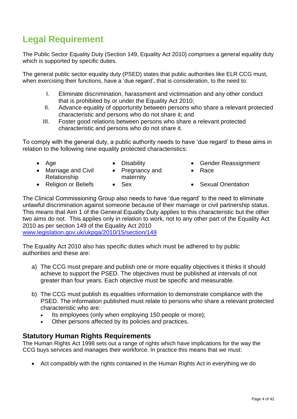# **Legal Requirement**

The Public Sector Equality Duty (Section 149, Equality Act 2010) comprises a general equality duty which is supported by specific duties.

The general public sector equality duty (PSED) states that public authorities like ELR CCG must, when exercising their functions, have a 'due regard', that is consideration, to the need to:

- I. Eliminate discrimination, harassment and victimisation and any other conduct that is prohibited by or under the Equality Act 2010;
- II. Advance equality of opportunity between persons who share a relevant protected characteristic and persons who do not share it; and
- III. Foster good relations between persons who share a relevant protected characteristic and persons who do not share it.

To comply with the general duty, a public authority needs to have 'due regard' to these aims in relation to the following nine equality protected characteristics:

• Pregnancy and

- Marriage and Civil Relationship
- maternity
- Age Disability Gender Reassignment
	- Race
	-
- Religion or Beliefs Sex Sexual Orientation

The Clinical Commissioning Group also needs to have 'due regard' to the need to eliminate unlawful discrimination against someone because of their marriage or civil partnership status. This means that Aim 1 of the General Equality Duty applies to this characteristic but the other two aims do not. This applies only in relation to work, not to any other part of the Equality Act 2010 as per section 149 of the Equality Act 2010

[www.legislation.gov.uk/ukpga/2010/15/section/149](http://www.legislation.gov.uk/ukpga/2010/15/section/149)

The Equality Act 2010 also has specific duties which must be adhered to by public authorities and these are:

- a) The CCG must prepare and publish one or more equality objectives it thinks it should achieve to support the PSED. The objectives must be published at intervals of not greater than four years. Each objective must be specific and measurable.
- b) The CCG must publish its equalities information to demonstrate compliance with the PSED. The information published must relate to persons who share a relevant protected characteristic who are:
	- Its employees (only when employing 150 people or more);
	- Other persons affected by its policies and practices.

#### **Statutory Human Rights Requirements**

The Human Rights Act 1998 sets out a range of rights which have implications for the way the CCG buys services and manages their workforce. In practice this means that we must:

Act compatibly with the rights contained in the Human Rights Act in everything we do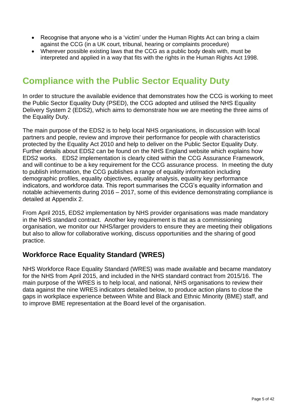- Recognise that anyone who is a 'victim' under the Human Rights Act can bring a claim against the CCG (in a UK court, tribunal, hearing or complaints procedure)
- Wherever possible existing laws that the CCG as a public body deals with, must be interpreted and applied in a way that fits with the rights in the Human Rights Act 1998.

# **Compliance with the Public Sector Equality Duty**

In order to structure the available evidence that demonstrates how the CCG is working to meet the Public Sector Equality Duty (PSED), the CCG adopted and utilised the NHS Equality Delivery System 2 (EDS2), which aims to demonstrate how we are meeting the three aims of the Equality Duty.

The main purpose of the EDS2 is to help local NHS organisations, in discussion with local partners and people, review and improve their performance for people with characteristics protected by the Equality Act 2010 and help to deliver on the Public Sector Equality Duty. Further details about EDS2 can be found on the NHS England website which explains how EDS2 works. EDS2 implementation is clearly cited within the CCG Assurance Framework, and will continue to be a key requirement for the CCG assurance process. In meeting the duty to publish information, the CCG publishes a range of equality information including demographic profiles, equality objectives, equality analysis, equality key performance indicators, and workforce data. This report summarises the CCG's equality information and notable achievements during 2016 – 2017, some of this evidence demonstrating compliance is detailed at Appendix 2.

From April 2015, EDS2 implementation by NHS provider organisations was made mandatory in the NHS standard contract. Another key requirement is that as a commissioning organisation, we monitor our NHS/larger providers to ensure they are meeting their obligations but also to allow for collaborative working, discuss opportunities and the sharing of good practice.

#### **Workforce Race Equality Standard (WRES)**

NHS Workforce Race Equality Standard (WRES) was made available and became mandatory for the NHS from April 2015, and included in the NHS standard contract from 2015/16. The main purpose of the WRES is to help local, and national, NHS organisations to review their data against the nine WRES indicators detailed below, to produce action plans to close the gaps in workplace experience between White and Black and Ethnic Minority (BME) staff, and to improve BME representation at the Board level of the organisation.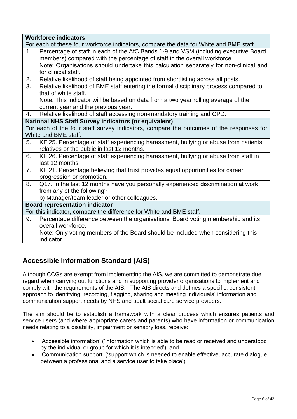| <b>Workforce indicators</b>                                                             |
|-----------------------------------------------------------------------------------------|
| For each of these four workforce indicators, compare the data for White and BME staff.  |
| Percentage of staff in each of the AfC Bands 1-9 and VSM (including executive Board     |
| members) compared with the percentage of staff in the overall workforce                 |
| Note: Organisations should undertake this calculation separately for non-clinical and   |
| for clinical staff.                                                                     |
| Relative likelihood of staff being appointed from shortlisting across all posts.        |
| Relative likelihood of BME staff entering the formal disciplinary process compared to   |
| that of white staff.                                                                    |
| Note: This indicator will be based on data from a two year rolling average of the       |
| current year and the previous year.                                                     |
| Relative likelihood of staff accessing non-mandatory training and CPD.                  |
| <b>National NHS Staff Survey indicators (or equivalent)</b>                             |
| For each of the four staff survey indicators, compare the outcomes of the responses for |
| White and BME staff.                                                                    |
| KF 25. Percentage of staff experiencing harassment, bullying or abuse from patients,    |
| relatives or the public in last 12 months.                                              |
| KF 26. Percentage of staff experiencing harassment, bullying or abuse from staff in     |
| last 12 months                                                                          |
| KF 21. Percentage believing that trust provides equal opportunities for career          |
| progression or promotion.                                                               |
| Q17. In the last 12 months have you personally experienced discrimination at work       |
| from any of the following?                                                              |
| b) Manager/team leader or other colleagues.                                             |
| <b>Board representation indicator</b>                                                   |
| For this indicator, compare the difference for White and BME staff.                     |
| Percentage difference between the organisations' Board voting membership and its        |
| overall workforce.                                                                      |
| Note: Only voting members of the Board should be included when considering this         |
| indicator.                                                                              |
|                                                                                         |

#### **Accessible Information Standard (AIS)**

Although CCGs are exempt from implementing the AIS, we are committed to demonstrate due regard when carrying out functions and in supporting provider organisations to implement and comply with the requirements of the AIS. The AIS directs and defines a specific, consistent approach to identifying, recording, flagging, sharing and meeting individuals' information and communication support needs by NHS and adult social care service providers.

The aim should be to establish a framework with a clear process which ensures patients and service users (and where appropriate carers and parents) who have information or communication needs relating to a disability, impairment or sensory loss, receive:

- 'Accessible information' ('information which is able to be read or received and understood by the individual or group for which it is intended'); and
- 'Communication support' ('support which is needed to enable effective, accurate dialogue between a professional and a service user to take place');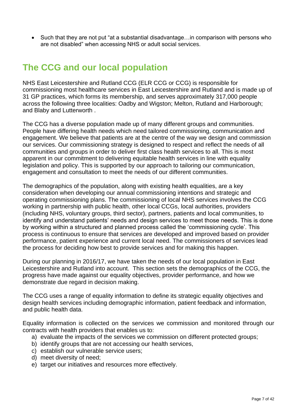• Such that they are not put "at a substantial disadvantage... in comparison with persons who are not disabled" when accessing NHS or adult social services.

### **The CCG and our local population**

NHS East Leicestershire and Rutland CCG (ELR CCG or CCG) is responsible for commissioning most healthcare services in East Leicestershire and Rutland and is made up of 31 GP practices, which forms its membership, and serves approximately 317,000 people across the following three localities: Oadby and Wigston; Melton, Rutland and Harborough; and Blaby and Lutterworth .

The CCG has a diverse population made up of many different groups and communities. People have differing health needs which need tailored commissioning, communication and engagement. We believe that patients are at the centre of the way we design and commission our services. Our commissioning strategy is designed to respect and reflect the needs of all communities and groups in order to deliver first class health services to all. This is most apparent in our commitment to delivering equitable health services in line with equality legislation and policy. This is supported by our approach to tailoring our communication, engagement and consultation to meet the needs of our different communities.

The demographics of the population, along with existing health equalities, are a key consideration when developing our annual commissioning intentions and strategic and operating commissioning plans. The commissioning of local NHS services involves the CCG working in partnership with public health, other local CCGs, local authorities, providers (including NHS, voluntary groups, third sector), partners, patients and local communities, to identify and understand patients' needs and design services to meet those needs. This is done by working within a structured and planned process called the 'commissioning cycle'. This process is continuous to ensure that services are developed and improved based on provider performance, patient experience and current local need. The commissioners of services lead the process for deciding how best to provide services and for making this happen.

During our planning in 2016/17, we have taken the needs of our local population in East Leicestershire and Rutland into account. This section sets the demographics of the CCG, the progress have made against our equality objectives, provider performance, and how we demonstrate due regard in decision making.

The CCG uses a range of equality information to define its strategic equality objectives and design health services including demographic information, patient feedback and information, and public health data.

Equality information is collected on the services we commission and monitored through our contracts with health providers that enables us to:

- a) evaluate the impacts of the services we commission on different protected groups;
- b) identify groups that are not accessing our health services,
- c) establish our vulnerable service users;
- d) meet diversity of need;
- e) target our initiatives and resources more effectively.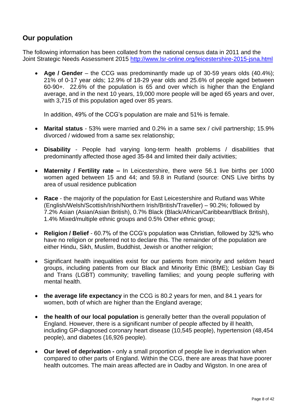#### **Our population**

The following information has been collated from the national census data in 2011 and the Joint Strategic Needs Assessment 2015<http://www.lsr-online.org/leicestershire-2015-jsna.html>

 **Age / Gender** – the CCG was predominantly made up of 30-59 years olds (40.4%); 21% of 0-17 year olds; 12.9% of 18-29 year olds and 25.6% of people aged between 60-90+. 22.6% of the population is 65 and over which is higher than the England average, and in the next 10 years, 19,000 more people will be aged 65 years and over, with 3,715 of this population aged over 85 years.

In addition, 49% of the CCG's population are male and 51% is female.

- **Marital status** 53% were married and 0.2% in a same sex / civil partnership; 15.9% divorced / widowed from a same sex relationship;
- **Disability** People had varying long-term health problems / disabilities that predominantly affected those aged 35-84 and limited their daily activities;
- **Maternity / Fertility rate –** In Leicestershire, there were 56.1 live births per 1000 women aged between 15 and 44; and 59.8 in Rutland (source: ONS Live births by area of usual residence publication
- **Race** the majority of the population for East Leicestershire and Rutland was White (English/Welsh/Scottish/Irish/Northern Irish/British/Traveller) – 90.2%; followed by 7.2% Asian (Asian/Asian British), 0.7% Black (Black/African/Caribbean/Black British), 1.4% Mixed/multiple ethnic groups and 0.5% Other ethnic group;
- **Religion / Belief** 60.7% of the CCG's population was Christian, followed by 32% who have no religion or preferred not to declare this. The remainder of the population are either Hindu, Sikh, Muslim, Buddhist, Jewish or another religion;
- Significant health inequalities exist for our patients from minority and seldom heard groups, including patients from our Black and Minority Ethic (BME); Lesbian Gay Bi and Trans (LGBT) community; travelling families; and young people suffering with mental health.
- **the average life expectancy** in the CCG is 80.2 years for men, and 84.1 years for women, both of which are higher than the England average;
- **the health of our local population** is generally better than the overall population of England. However, there is a significant number of people affected by ill health, including GP-diagnosed coronary heart disease (10,545 people), hypertension (48,454 people), and diabetes (16,926 people).
- **Our level of deprivation -** only a small proportion of people live in deprivation when compared to other parts of England. Within the CCG, there are areas that have poorer health outcomes. The main areas affected are in Oadby and Wigston. In one area of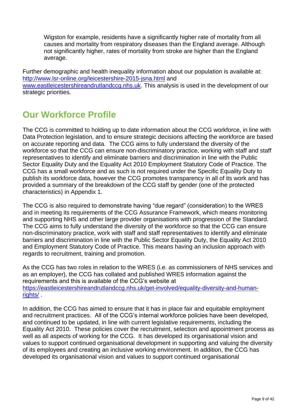Wigston for example, residents have a significantly higher rate of mortality from all causes and mortality from respiratory diseases than the England average. Although not significantly higher, rates of mortality from stroke are higher than the England average.

Further demographic and health inequality information about our population is available at: <http://www.lsr-online.org/leicestershire-2015-jsna.html> and [www.eastleicestershireandrutlandccg.nhs.uk.](http://www.eastleicestershireandrutlandccg.nhs.uk/) This analysis is used in the development of our strategic priorities.

### **Our Workforce Profile**

The CCG is committed to holding up to date information about the CCG workforce, in line with Data Protection legislation, and to ensure strategic decisions affecting the workforce are based on accurate reporting and data. The CCG aims to fully understand the diversity of the workforce so that the CCG can ensure non-discriminatory practice, working with staff and staff representatives to identify and eliminate barriers and discrimination in line with the Public Sector Equality Duty and the Equality Act 2010 Employment Statutory Code of Practice. The CCG has a small workforce and as such is not required under the Specific Equality Duty to publish its workforce data, however the CCG promotes transparency in all of its work and has provided a summary of the breakdown of the CCG staff by gender (one of the protected characteristics) in Appendix 1.

The CCG is also required to demonstrate having "due regard" (consideration) to the WRES and in meeting its requirements of the CCG Assurance Framework, which means monitoring and supporting NHS and other large provider organisations with progression of the Standard. The CCG aims to fully understand the diversity of the workforce so that the CCG can ensure non-discriminatory practice, work with staff and staff representatives to identify and eliminate barriers and discrimination in line with the Public Sector Equality Duty, the Equality Act 2010 and Employment Statutory Code of Practice. This means having an inclusion approach with regards to recruitment, training and promotion.

As the CCG has two roles in relation to the WRES (i.e. as commissioners of NHS services and as an employer), the CCG has collated and published WRES information against the requirements and this is available of the CCG's website at [https://eastleicestershireandrutlandccg.nhs.uk/get-involved/equality-diversity-and-human](https://eastleicestershireandrutlandccg.nhs.uk/get-involved/equality-diversity-and-human-rights/)[rights/](https://eastleicestershireandrutlandccg.nhs.uk/get-involved/equality-diversity-and-human-rights/)

In addition, the CCG has aimed to ensure that it has in place fair and equitable employment and recruitment practices. All of the CCG's internal workforce policies have been developed, and continued to be updated, in line with current legislative requirements, including the Equality Act 2010. These policies cover the recruitment, selection and appointment process as well as all aspects of working for the CCG. It has developed its organisational vision and values to support continued organisational development in supporting and valuing the diversity of its employees and creating an inclusive working environment. In addition, the CCG has developed its organisational vision and values to support continued organisational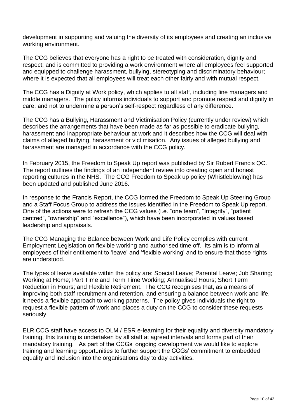development in supporting and valuing the diversity of its employees and creating an inclusive working environment.

The CCG believes that everyone has a right to be treated with consideration, dignity and respect; and is committed to providing a work environment where all employees feel supported and equipped to challenge harassment, bullying, stereotyping and discriminatory behaviour; where it is expected that all employees will treat each other fairly and with mutual respect.

The CCG has a Dignity at Work policy, which applies to all staff, including line managers and middle managers. The policy informs individuals to support and promote respect and dignity in care; and not to undermine a person's self-respect regardless of any difference.

The CCG has a Bullying, Harassment and Victimisation Policy (currently under review) which describes the arrangements that have been made as far as possible to eradicate bullying, harassment and inappropriate behaviour at work and it describes how the CCG will deal with claims of alleged bullying, harassment or victimisation. Any issues of alleged bullying and harassment are managed in accordance with the CCG policy.

In February 2015, the Freedom to Speak Up report was published by Sir Robert Francis QC. The report outlines the findings of an independent review into creating open and honest reporting cultures in the NHS. The CCG Freedom to Speak up policy (Whistleblowing) has been updated and published June 2016.

In response to the Francis Report, the CCG formed the Freedom to Speak Up Steering Group and a Staff Focus Group to address the issues identified in the Freedom to Speak Up report. One of the actions were to refresh the CCG values (i.e. "one team", "Integrity", "patient centred", "ownership" and "excellence"), which have been incorporated in values based leadership and appraisals.

The CCG Managing the Balance between Work and Life Policy complies with current Employment Legislation on flexible working and authorised time off. Its aim is to inform all employees of their entitlement to 'leave' and 'flexible working' and to ensure that those rights are understood.

The types of leave available within the policy are: Special Leave; Parental Leave; Job Sharing; Working at Home; Part Time and Term Time Working; Annualised Hours; Short Term Reduction in Hours; and Flexible Retirement. The CCG recognises that, as a means of improving both staff recruitment and retention, and ensuring a balance between work and life, it needs a flexible approach to working patterns. The policy gives individuals the right to request a flexible pattern of work and places a duty on the CCG to consider these requests seriously.

ELR CCG staff have access to OLM / ESR e-learning for their equality and diversity mandatory training, this training is undertaken by all staff at agreed intervals and forms part of their mandatory training. As part of the CCGs' ongoing development we would like to explore training and learning opportunities to further support the CCGs' commitment to embedded equality and inclusion into the organisations day to day activities.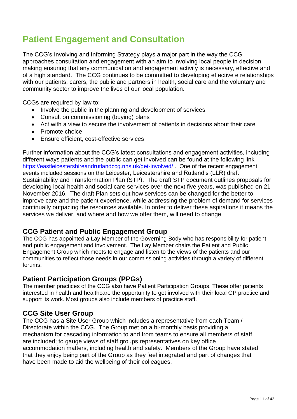# **Patient Engagement and Consultation**

The CCG's Involving and Informing Strategy plays a major part in the way the CCG approaches consultation and engagement with an aim to involving local people in decision making ensuring that any communication and engagement activity is necessary, effective and of a high standard. The CCG continues to be committed to developing effective e relationships with our patients, carers, the public and partners in health, social care and the voluntary and community sector to improve the lives of our local population.

CCGs are required by law to:

- Involve the public in the planning and development of services
- Consult on commissioning (buying) plans
- Act with a view to secure the involvement of patients in decisions about their care
- Promote choice
- Ensure efficient, cost-effective services

Further information about the CCG's latest consultations and engagement activities, including different ways patients and the public can get involved can be found at the following link <https://eastleicestershireandrutlandccg.nhs.uk/get-involved/> . One of the recent engagement events included sessions on the Leicester, Leicestershire and Rutland's (LLR) draft Sustainability and Transformation Plan (STP). The draft STP document outlines proposals for developing local health and social care services over the next five years, was published on 21 November 2016. The draft Plan sets out how services can be changed for the better to improve care and the patient experience, while addressing the problem of demand for services continually outpacing the resources available. In order to deliver these aspirations it means the services we deliver, and where and how we offer them, will need to change.

#### **CCG Patient and Public Engagement Group**

The CCG has appointed a Lay Member of the Governing Body who has responsibility for patient and public engagement and involvement. The Lay Member chairs the Patient and Public Engagement Group which meets to engage and listen to the views of the patients and our communities to reflect those needs in our commissioning activities through a variety of different forums.

#### **Patient Participation Groups (PPGs)**

The member practices of the CCG also have Patient Participation Groups. These offer patients interested in health and healthcare the opportunity to get involved with their local GP practice and support its work. Most groups also include members of practice staff.

#### **CCG Site User Group**

The CCG has a Site User Group which includes a representative from each Team / Directorate within the CCG. The Group met on a bi-monthly basis providing a mechanism for cascading information to and from teams to ensure all members of staff are included; to gauge views of staff groups representatives on key office accommodation matters, including health and safety. Members of the Group have stated that they enjoy being part of the Group as they feel integrated and part of changes that have been made to aid the wellbeing of their colleagues.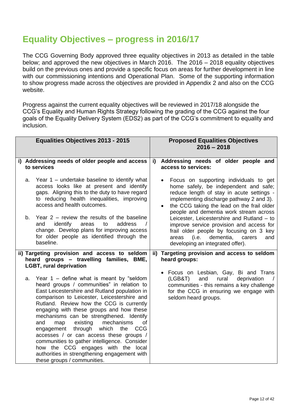## **Equality Objectives – progress in 2016/17**

The CCG Governing Body approved three equality objectives in 2013 as detailed in the table below; and approved the new objectives in March 2016. The 2016 – 2018 equality objectives build on the previous ones and provide a specific focus on areas for further development in line with our commissioning intentions and Operational Plan. Some of the supporting information to show progress made across the objectives are provided in Appendix 2 and also on the CCG website.

Progress against the current equality objectives will be reviewed in 2017/18 alongside the CCG's Equality and Human Rights Strategy following the grading of the CCG against the four goals of the Equality Delivery System (EDS2) as part of the CCG's commitment to equality and inclusion.

| <b>Equalities Objectives 2013 - 2015</b>                                                                                                                                                                                                                                                                                                                                                                                                                                                                                                                                                                                                    | <b>Proposed Equalities Objectives</b><br>$2016 - 2018$                                                                                                                                                                                                           |
|---------------------------------------------------------------------------------------------------------------------------------------------------------------------------------------------------------------------------------------------------------------------------------------------------------------------------------------------------------------------------------------------------------------------------------------------------------------------------------------------------------------------------------------------------------------------------------------------------------------------------------------------|------------------------------------------------------------------------------------------------------------------------------------------------------------------------------------------------------------------------------------------------------------------|
| i) Addressing needs of older people and access<br>to services                                                                                                                                                                                                                                                                                                                                                                                                                                                                                                                                                                               | Addressing needs of older people and<br>i)<br>access to services:                                                                                                                                                                                                |
| a. Year 1 – undertake baseline to identify what<br>access looks like at present and identify<br>gaps. Aligning this to the duty to have regard<br>to reducing health inequalities, improving<br>access and health outcomes.                                                                                                                                                                                                                                                                                                                                                                                                                 | Focus on supporting individuals to get<br>home safely, be independent and safe;<br>reduce length of stay in acute settings -<br>implementing discharge pathway 2 and 3).<br>the CCG taking the lead on the frail older<br>people and dementia work stream across |
| b. Year $2$ – review the results of the baseline<br>identify<br>and<br>areas<br>to<br>address<br>change. Develop plans for improving access<br>for older people as identified through the<br>baseline.                                                                                                                                                                                                                                                                                                                                                                                                                                      | Leicester, Leicestershire and Rutland - to<br>improve service provision and access for<br>frail older people by focusing on 3 key<br>(i.e. dementia, carers<br>and<br>areas<br>developing an integrated offer).                                                  |
| ii) Targeting provision and access to seldom<br>Targeting provision and access to seldom<br>ii)<br>heard groups - travelling families, BME,<br>heard groups:<br><b>LGBT, rural deprivation</b>                                                                                                                                                                                                                                                                                                                                                                                                                                              |                                                                                                                                                                                                                                                                  |
| a. Year $1$ – define what is meant by "seldom<br>heard groups / communities" in relation to<br>East Leicestershire and Rutland population in<br>comparison to Leicester, Leicestershire and<br>Rutland. Review how the CCG is currently<br>engaging with these groups and how these<br>mechanisms can be strengthened. Identify<br>existing<br>mechanisms<br>and<br>map<br>οf<br>engagement through which the<br><b>CCG</b><br>accesses / or can access these groups /<br>communities to gather intelligence. Consider<br>how the CCG engages with the local<br>authorities in strengthening engagement with<br>these groups / communities. | • Focus on Lesbian, Gay, Bi and Trans<br>(LGB&T)<br>and<br>deprivation<br>rural<br>communities - this remains a key challenge<br>for the CCG in ensuring we engage with<br>seldom heard groups.                                                                  |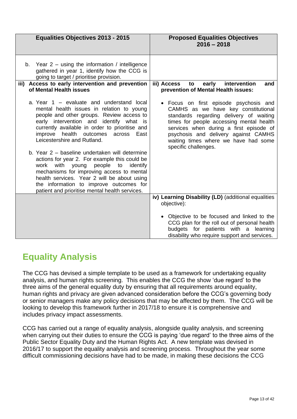| <b>Equalities Objectives 2013 - 2015</b>                                                                                                                                                                                                                                                                                                                                                                                                                                                                                                                                                                                                                      | <b>Proposed Equalities Objectives</b><br>$2016 - 2018$                                                                                                                                                                                                                                                                  |
|---------------------------------------------------------------------------------------------------------------------------------------------------------------------------------------------------------------------------------------------------------------------------------------------------------------------------------------------------------------------------------------------------------------------------------------------------------------------------------------------------------------------------------------------------------------------------------------------------------------------------------------------------------------|-------------------------------------------------------------------------------------------------------------------------------------------------------------------------------------------------------------------------------------------------------------------------------------------------------------------------|
| b. Year $2 -$ using the information / intelligence<br>gathered in year 1, identify how the CCG is<br>going to target / prioritise provision.                                                                                                                                                                                                                                                                                                                                                                                                                                                                                                                  |                                                                                                                                                                                                                                                                                                                         |
| iii) Access to early intervention and prevention<br>of Mental Health issues                                                                                                                                                                                                                                                                                                                                                                                                                                                                                                                                                                                   | iii) Access<br>intervention<br>to<br>early<br>and<br>prevention of Mental Health issues:                                                                                                                                                                                                                                |
| a. Year 1 – evaluate and understand local<br>mental health issues in relation to young<br>people and other groups. Review access to<br>early intervention and identify what is<br>currently available in order to prioritise and<br>improve health outcomes<br>East<br>across<br>Leicestershire and Rutland.<br>b. Year 2 – baseline undertaken will determine<br>actions for year 2. For example this could be<br>with<br>young<br>people<br>identify<br>work<br>to<br>mechanisms for improving access to mental<br>health services. Year 2 will be about using<br>the information to improve outcomes for<br>patient and prioritise mental health services. | • Focus on first episode psychosis and<br>CAMHS as we have key constitutional<br>standards regarding delivery of waiting<br>times for people accessing mental health<br>services when during a first episode of<br>psychosis and delivery against CAMHS<br>waiting times where we have had some<br>specific challenges. |
|                                                                                                                                                                                                                                                                                                                                                                                                                                                                                                                                                                                                                                                               | iv) Learning Disability (LD) (additional equalities<br>objective):                                                                                                                                                                                                                                                      |
|                                                                                                                                                                                                                                                                                                                                                                                                                                                                                                                                                                                                                                                               | Objective to be focused and linked to the<br>CCG plan for the roll out of personal health<br>budgets for patients with a learning<br>disability who require support and services.                                                                                                                                       |

# **Equality Analysis**

The CCG has devised a simple template to be used as a framework for undertaking equality analysis, and human rights screening. This enables the CCG the show 'due regard' to the three aims of the general equality duty by ensuring that all requirements around equality, human rights and privacy are given advanced consideration before the CCG's governing body or senior managers make any policy decisions that may be affected by them. The CCG will be looking to develop this framework further in 2017/18 to ensure it is comprehensive and includes privacy impact assessments.

CCG has carried out a range of equality analysis, alongside quality analysis, and screening when carrying out their duties to ensure the CCG is paying 'due regard' to the three aims of the Public Sector Equality Duty and the Human Rights Act. A new template was devised in 2016/17 to support the equality analysis and screening process. Throughout the year some difficult commissioning decisions have had to be made, in making these decisions the CCG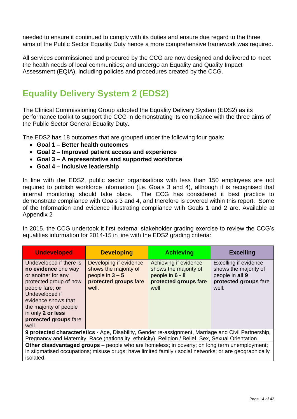needed to ensure it continued to comply with its duties and ensure due regard to the three aims of the Public Sector Equality Duty hence a more comprehensive framework was required.

All services commissioned and procured by the CCG are now designed and delivered to meet the health needs of local communities; and undergo an Equality and Quality Impact Assessment (EQIA), including policies and procedures created by the CCG.

# **Equality Delivery System 2 (EDS2)**

The Clinical Commissioning Group adopted the Equality Delivery System (EDS2) as its performance toolkit to support the CCG in demonstrating its compliance with the three aims of the Public Sector General Equality Duty.

The EDS2 has 18 outcomes that are grouped under the following four goals:

- **Goal 1 – Better health outcomes**
- **Goal 2 – Improved patient access and experience**
- **Goal 3 – A representative and supported workforce**
- **Goal 4 – Inclusive leadership**

In line with the EDS2, public sector organisations with less than 150 employees are not required to publish workforce information (i.e. Goals 3 and 4), although it is recognised that internal monitoring should take place. The CCG has considered it best practice to demonstrate compliance with Goals 3 and 4, and therefore is covered within this report. Some of the Information and evidence illustrating compliance wtih Goals 1 and 2 are. Available at Appendix 2

In 2015, the CCG undertook it first external stakeholder grading exercise to review the CCG's equalities information for 2014-15 in line with the EDS2 grading criteria:

| <b>Undeveloped</b>                                                                                                                                                                                                                          | <b>Developing</b>                                                                                      | <b>Achieving</b>                                                                                    | <b>Excelling</b>                                                                                    |
|---------------------------------------------------------------------------------------------------------------------------------------------------------------------------------------------------------------------------------------------|--------------------------------------------------------------------------------------------------------|-----------------------------------------------------------------------------------------------------|-----------------------------------------------------------------------------------------------------|
| Undeveloped if there is<br>no evidence one way<br>or another for any<br>protected group of how<br>people fare; or<br>Undeveloped if<br>evidence shows that<br>the majority of people<br>in only 2 or less<br>protected groups fare<br>well. | Developing if evidence<br>shows the majority of<br>people in $3 - 5$<br>protected groups fare<br>well. | Achieving if evidence<br>shows the majority of<br>people in 6 - 8<br>protected groups fare<br>well. | Excelling if evidence<br>shows the majority of<br>people in all 9<br>protected groups fare<br>well. |
| 9 protected characteristics - Age, Disability, Gender re-assignment, Marriage and Civil Partnership,<br>Pregnancy and Maternity, Race (nationality, ethnicity), Religion / Belief, Sex, Sexual Orientation.                                 |                                                                                                        |                                                                                                     |                                                                                                     |
| Other disadvantaged groups – people who are homeless; in poverty; on long term unemployment;<br>in stigmatised occupations; misuse drugs; have limited family / social networks; or are geographically<br>isolated.                         |                                                                                                        |                                                                                                     |                                                                                                     |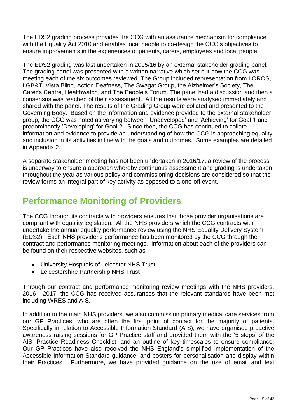The EDS2 grading process provides the CCG with an assurance mechanism for compliance with the Equality Act 2010 and enables local people to co-design the CCG's objectives to ensure improvements in the experiences of patients, carers, employees and local people.

The EDS2 grading was last undertaken in 2015/16 by an external stakeholder grading panel. The grading panel was presented with a written narrative which set out how the CCG was meeting each of the six outcomes reviewed. The Group included representation from LOROS, LGB&T, Vista Blind, Action Deafness, The Swagat Group, the Alzheimer's Society, The Carer's Centre, Healthwatch, and The People's Forum. The panel had a discussion and then a consensus was reached of their assessment. All the results were analysed immediately and shared with the panel. The results of the Grading Group were collated and presented to the Governing Body. Based on the information and evidence provided to the external stakeholder group, the CCG was noted as varying between 'Undeveloped' and 'Achieving' for Goal 1 and predominantly 'Developing' for Goal 2. Since then, the CCG has continued to collate information and evidence to provide an understanding of how the CCG is approaching equality and inclusion in its activities in line with the goals and outcomes. Some examples are detailed in Appendix 2.

A separate stakeholder meeting has not been undertaken in 2016/17, a review of the process is underway to ensure a approach whereby continuous assessment and grading is undertaken throughout the year as various policy and commissioning decisions are considered so that the review forms an integral part of key activity as opposed to a one-off event.

# **Performance Monitoring of Providers**

The CCG through its contracts with providers ensures that those provider organisations are compliant with equality legislation. All the NHS providers which the CCG contracts with undertake the annual equality performance review using the NHS Equality Delivery System (EDS2). Each NHS provider's performance has been monitored by the CCG through the contract and performance monitoring meetings. Information about each of the providers can be found on their respective websites, such as:

- University Hospitals of Leicester NHS Trust
- Leicestershire Partnership NHS Trust

Through our contract and performance monitoring review meetings with the NHS providers, 2016 - 2017, the CCG has received assurances that the relevant standards have been met including WRES and AIS.

In addition to the main NHS providers, we also commission primary medical care services from our GP Practices, who are often the first point of contact for the majority of patients. Specifically in relation to Accessible Information Standard (AIS), we have organised proactive awareness raising sessions for GP Practice staff and provided them with the '5 steps' of the AIS, Practice Readiness Checklist, and an outline of key timescales to ensure compliance. Our GP Practices have also received the NHS England's simplified implementation of the Accessible Information Standard guidance, and posters for personalisation and display within their Practices. Furthermore, we have provided guidance on the use of email and text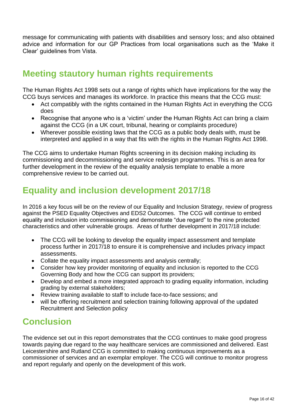message for communicating with patients with disabilities and sensory loss; and also obtained advice and information for our GP Practices from local organisations such as the 'Make it Clear' guidelines from Vista.

### **Meeting stautory human rights requirements**

The Human Rights Act 1998 sets out a range of rights which have implications for the way the CCG buys services and manages its workforce. In practice this means that the CCG must:

- Act compatibly with the rights contained in the Human Rights Act in everything the CCG does
- Recognise that anyone who is a 'victim' under the Human Rights Act can bring a claim against the CCG (in a UK court, tribunal, hearing or complaints procedure)
- Wherever possible existing laws that the CCG as a public body deals with, must be interpreted and applied in a way that fits with the rights in the Human Rights Act 1998.

The CCG aims to undertake Human Rights screening in its decision making including its commissioning and decommissioning and service redesign programmes. This is an area for further development in the review of the equality analysis template to enable a more comprehensive review to be carried out.

# **Equality and inclusion development 2017/18**

In 2016 a key focus will be on the review of our Equality and Inclusion Strategy, review of progress against the PSED Equality Objectives and EDS2 Outcomes. The CCG will continue to embed equality and inclusion into commissioning and demonstrate "due regard" to the nine protected characteristics and other vulnerable groups. Areas of further development in 2017/18 include:

- The CCG will be looking to develop the equality impact assessment and template process further in 2017/18 to ensure it is comprehensive and includes privacy impact assessments.
- Collate the equality impact assessments and analysis centrally;
- Consider how key provider monitoring of equality and inclusion is reported to the CCG Governing Body and how the CCG can support its providers;
- Develop and embed a more integrated approach to grading equality information, including grading by external stakeholders;
- Review training available to staff to include face-to-face sessions; and
- will be offering recruitment and selection training following approval of the updated Recruitment and Selection policy

# **Conclusion**

The evidence set out in this report demonstrates that the CCG continues to make good progress towards paying due regard to the way healthcare services are commissioned and delivered. East Leicestershire and Rutland CCG is committed to making continuous improvements as a commissioner of services and an exemplar employer. The CCG will continue to monitor progress and report regularly and openly on the development of this work.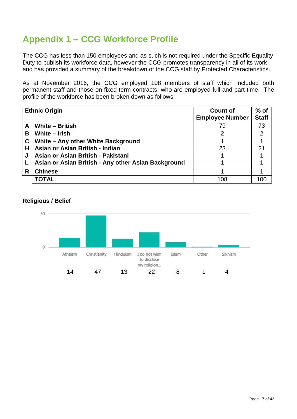# **Appendix 1 – CCG Workforce Profile**

The CCG has less than 150 employees and as such is not required under the Specific Equality Duty to publish its workforce data, however the CCG promotes transparency in all of its work and has provided a summary of the breakdown of the CCG staff by Protected Characteristics.

As at November 2016, the CCG employed 108 members of staff which included both permanent staff and those on fixed term contracts; who are employed full and part time. The profile of the workforce has been broken down as follows:

|   | <b>Ethnic Origin</b>                                | <b>Count of</b><br><b>Employee Number</b> | $%$ of<br><b>Staff</b> |
|---|-----------------------------------------------------|-------------------------------------------|------------------------|
| A | <b>White - British</b>                              | 79                                        | 73                     |
| B | White - Irish                                       | 2                                         | $\overline{2}$         |
| C | White - Any other White Background                  |                                           |                        |
| н | Asian or Asian British - Indian                     | 23                                        | 21                     |
| J | Asian or Asian British - Pakistani                  |                                           |                        |
|   | Asian or Asian British - Any other Asian Background |                                           |                        |
| R | <b>Chinese</b>                                      |                                           |                        |
|   | <b>TOTAL</b>                                        | 108                                       | 100                    |

#### **Religious / Belief**

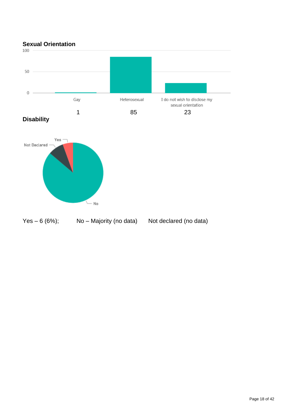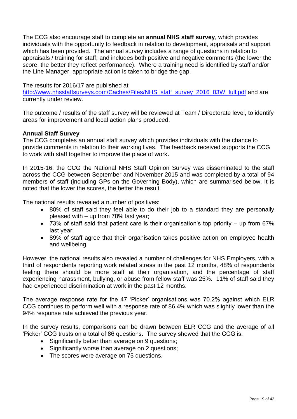The CCG also encourage staff to complete an **annual NHS staff survey**, which provides individuals with the opportunity to feedback in relation to development, appraisals and support which has been provided. The annual survey includes a range of questions in relation to appraisals / training for staff; and includes both positive and negative comments (the lower the score, the better they reflect performance). Where a training need is identified by staff and/or the Line Manager, appropriate action is taken to bridge the gap.

#### The results for 2016/17 are published at

[http://www.nhsstaffsurveys.com/Caches/Files/NHS\\_staff\\_survey\\_2016\\_03W\\_full.pdf](http://www.nhsstaffsurveys.com/Caches/Files/NHS_staff_survey_2016_03W_full.pdf) and are currently under review.

The outcome / results of the staff survey will be reviewed at Team / Directorate level, to identify areas for improvement and local action plans produced.

#### **Annual Staff Survey**

The CCG completes an annual staff survey which provides individuals with the chance to provide comments in relation to their working lives. The feedback received supports the CCG to work with staff together to improve the place of work**.** 

In 2015-16, the CCG the National NHS Staff Opinion Survey was disseminated to the staff across the CCG between September and November 2015 and was completed by a total of 94 members of staff (including GPs on the Governing Body), which are summarised below. It is noted that the lower the scores, the better the result.

The national results revealed a number of positives:

- 80% of staff said they feel able to do their job to a standard they are personally pleased with – up from 78% last year;
- 73% of staff said that patient care is their organisation's top priority up from 67% last year;
- 89% of staff agree that their organisation takes positive action on employee health and wellbeing.

However, the national results also revealed a number of challenges for NHS Employers, with a third of respondents reporting work related stress in the past 12 months, 48% of respondents feeling there should be more staff at their organisation, and the percentage of staff experiencing harassment, bullying, or abuse from fellow staff was 25%. 11% of staff said they had experienced discrimination at work in the past 12 months.

The average response rate for the 47 'Picker' organisations was 70.2% against which ELR CCG continues to perform well with a response rate of 86.4% which was slightly lower than the 94% response rate achieved the previous year.

In the survey results, comparisons can be drawn between ELR CCG and the average of all 'Picker' CCG trusts on a total of 86 questions. The survey showed that the CCG is:

- Significantly better than average on 9 questions;
- Significantly worse than average on 2 questions;
- The scores were average on 75 questions.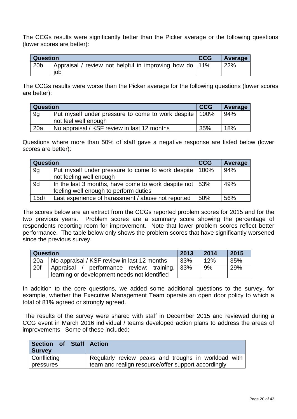The CCGs results were significantly better than the Picker average or the following questions (lower scores are better):

| <b>Question</b> |                                                                 | <b>CCG</b> | <b>Average</b> |
|-----------------|-----------------------------------------------------------------|------------|----------------|
| 20 <sub>b</sub> | Appraisal / review not helpful in improving how do   11%<br>iob |            | 22%            |

The CCGs results were worse than the Picker average for the following questions (lower scores are better):

| <b>Question</b> |                                                          | <b>CCG</b> | Average |
|-----------------|----------------------------------------------------------|------------|---------|
| 9g              | Put myself under pressure to come to work despite   100% |            | 94%     |
|                 | not feel well enough                                     |            |         |
| 20a             | No appraisal / KSF review in last 12 months              | 35%        | 18%     |

Questions where more than 50% of staff gave a negative response are listed below (lower scores are better):

| <b>Question</b> |                                                           | <b>CCG</b> | Average |
|-----------------|-----------------------------------------------------------|------------|---------|
| 9g              | Put myself under pressure to come to work despite   100%  |            | 94%     |
|                 | not feeling well enough                                   |            |         |
| 9d              | In the last 3 months, have come to work despite not   53% |            | 49%     |
|                 | feeling well enough to perform duties                     |            |         |
| $15d+$          | Last experience of harassment / abuse not reported        | 50%        | 56%     |

The scores below are an extract from the CCGs reported problem scores for 2015 and for the two previous years. Problem scores are a summary score showing the percentage of respondents reporting room for improvement. Note that lower problem scores reflect better performance. The table below only shows the problem scores that have significantly worsened since the previous survey.

| <b>Question</b> |                                               | 2013 | 2014 | 2015 |
|-----------------|-----------------------------------------------|------|------|------|
| 20a             | No appraisal / KSF review in last 12 months   | 33%  | 12%  | 35%  |
| 20f             | Appraisal / performance review: training, 33% |      | 9%   | 29%  |
|                 | learning or development needs not identified  |      |      |      |

In addition to the core questions, we added some additional questions to the survey, for example, whether the Executive Management Team operate an open door policy to which a total of 81% agreed or strongly agreed.

The results of the survey were shared with staff in December 2015 and reviewed during a CCG event in March 2016 individual / teams developed action plans to address the areas of improvements. Some of these included:

| Section of Staff Action<br><b>Survey</b> |                                                     |
|------------------------------------------|-----------------------------------------------------|
| Conflicting                              | Regularly review peaks and troughs in workload with |
| pressures                                | team and realign resource/offer support accordingly |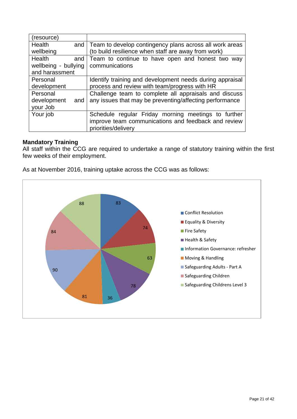| (resource)           |                                                          |
|----------------------|----------------------------------------------------------|
| Health<br>and        | Team to develop contingency plans across all work areas  |
| wellbeing            | (to build resilience when staff are away from work)      |
| <b>Health</b><br>and | Team to continue to have open and honest two way         |
| wellbeing - bullying | communications                                           |
| and harassment       |                                                          |
| Personal             | Identify training and development needs during appraisal |
| development          | process and review with team/progress with HR            |
| Personal             | Challenge team to complete all appraisals and discuss    |
| development<br>and   | any issues that may be preventing/affecting performance  |
| your Job             |                                                          |
| Your job             | Schedule regular Friday morning meetings to further      |
|                      | improve team communications and feedback and review      |
|                      | priorities/delivery                                      |

#### **Mandatory Training**

All staff within the CCG are required to undertake a range of statutory training within the first few weeks of their employment.

As at November 2016, training uptake across the CCG was as follows:

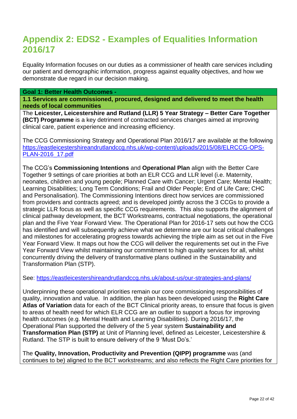### **Appendix 2: EDS2 - Examples of Equalities Information 2016/17**

Equality Information focuses on our duties as a commissioner of health care services including our patient and demographic information, progress against equality objectives, and how we demonstrate due regard in our decision making.

**Goal 1: Better Health Outcomes -**

**1.1 Services are commissioned, procured, designed and delivered to meet the health needs of local communities**

The **Leicester, Leicestershire and Rutland (LLR) 5 Year Strategy – Better Care Together (BCT) Programme** is a key detriment of contracted services changes aimed at improving clinical care, patient experience and increasing efficiency.

The CCG Commissioning Strategy and Operational Plan 2016/17 are available at the following [https://eastleicestershireandrutlandccg.nhs.uk/wp-content/uploads/2015/08/ELRCCG-OPS-](https://eastleicestershireandrutlandccg.nhs.uk/wp-content/uploads/2015/08/ELRCCG-OPS-PLAN-2016_17.pdf)[PLAN-2016\\_17.pdf](https://eastleicestershireandrutlandccg.nhs.uk/wp-content/uploads/2015/08/ELRCCG-OPS-PLAN-2016_17.pdf)

The CCG's **Commissioning Intentions** and **Operational Plan** align with the Better Care Together 9 settings of care priorities at both an ELR CCG and LLR level (i.e. Maternity, neonates, children and young people; Planned Care with Cancer; Urgent Care; Mental Health; Learning Disabilities; Long Term Conditions; Frail and Older People; End of Life Care; CHC and Personalisation). The Commissioning Intentions direct how services are commissioned from providers and contracts agreed; and is developed jointly across the 3 CCGs to provide a strategic LLR focus as well as specific CCG requirements. This also supports the alignment of clinical pathway development, the BCT Workstreams, contractual negotiations, the operational plan and the Five Year Forward View. The Operational Plan for 2016-17 sets out how the CCG has identified and will subsequently achieve what we determine are our local critical challenges and milestones for accelerating progress towards achieving the triple aim as set out in the Five Year Forward View. It maps out how the CCG will deliver the requirements set out in the Five Year Forward View whilst maintaining our commitment to high quality services for all, whilst concurrently driving the delivery of transformative plans outlined in the Sustainability and Transformation Plan (STP).

See:<https://eastleicestershireandrutlandccg.nhs.uk/about-us/our-strategies-and-plans/>

Underpinning these operational priorities remain our core commissioning responsibilities of quality, innovation and value. In addition, the plan has been developed using the **Right Care Atlas of Variation** data for each of the BCT Clinical priority areas, to ensure that focus is given to areas of health need for which ELR CCG are an outlier to support a focus for improving health outcomes (e.g. Mental Health and Learning Disabilities). During 2016/17, the Operational Plan supported the delivery of the 5 year system **Sustainability and Transformation Plan (STP)** at Unit of Planning level, defined as Leicester, Leicestershire & Rutland. The STP is built to ensure delivery of the 9 'Must Do's.'

The **Quality, Innovation, Productivity and Prevention (QIPP) programme** was (and continues to be) aligned to the BCT workstreams; and also reflects the Right Care priorities for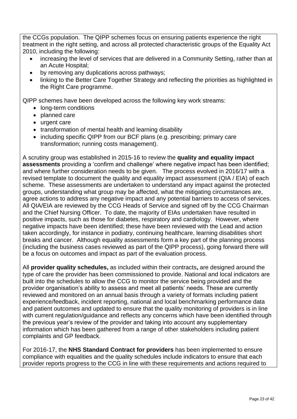the CCGs population. The QIPP schemes focus on ensuring patients experience the right treatment in the right setting, and across all protected characteristic groups of the Equality Act 2010, including the following:

- increasing the level of services that are delivered in a Community Setting, rather than at an Acute Hospital;
- by removing any duplications across pathways;
- linking to the Better Care Together Strategy and reflecting the priorities as highlighted in the Right Care programme.

QIPP schemes have been developed across the following key work streams:

- long-term conditions
- planned care
- urgent care
- transformation of mental health and learning disability
- including specific QIPP from our BCF plans (e.g. prescribing; primary care transformation; running costs management).

A scrutiny group was established in 2015-16 to review the **quality and equality impact assessments** providing a 'confirm and challenge' where negative impact has been identified; and where further consideration needs to be given. The process evolved in 2016/17 with a revised template to document the quality and equality impact assessment (QIA / EIA) of each scheme. These assessments are undertaken to understand any impact against the protected groups, understanding what group may be affected, what the mitigating circumstances are, agree actions to address any negative impact and any potential barriers to access of services. All QIA/EIA are reviewed by the CCG Heads of Service and signed off by the CCG Chairman and the Chief Nursing Officer. To date, the majority of EIAs undertaken have resulted in positive impacts, such as those for diabetes, respiratory and cardiology. However, where negative impacts have been identified; these have been reviewed with the Lead and action taken accordingly, for instance in podiatry, continuing healthcare, learning disabilities short breaks and cancer. Although equality assessments form a key part of the planning process (including the business cases reviewed as part of the QIPP process), going forward there will be a focus on outcomes and impact as part of the evaluation process.

All **provider quality schedules,** as included within their contracts**,** are designed around the type of care the provider has been commissioned to provide. National and local indicators are built into the schedules to allow the CCG to monitor the service being provided and the provider organisation's ability to assess and meet all patients' needs. These are currently reviewed and monitored on an annual basis through a variety of formats including patient experience/feedback, incident reporting, national and local benchmarking performance data and patient outcomes and updated to ensure that the quality monitoring of providers is in line with current regulation/guidance and reflects any concerns which have been identified through the previous year's review of the provider and taking into account any supplementary information which has been gathered from a range of other stakeholders including patient complaints and GP feedback.

For 2016-17, the **NHS Standard Contract for providers** has been implemented to ensure compliance with equalities and the quality schedules include indicators to ensure that each provider reports progress to the CCG in line with these requirements and actions required to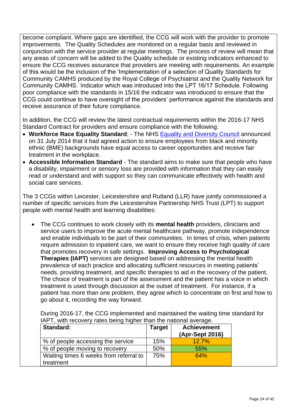become compliant. Where gaps are identified, the CCG will work with the provider to promote improvements. The Quality Schedules are monitored on a regular basis and reviewed in conjunction with the service provider at regular meetings. The process of review will mean that any areas of concern will be added to the Quality schedule or existing indicators enhanced to ensure the CCG receives assurance that providers are meeting with requirements. An example of this would be the inclusion of the 'Implementation of a selection of Quality Standards for Community CAMHS produced by the Royal College of Psychiatrist and the Quality Network for Community CAMHS. 'indicator which was introduced into the LPT 16/17 Schedule. Following poor compliance with the standards in 15/16 the indicator was introduced to ensure that the CCG could continue to have oversight of the providers' performance against the standards and receive assurance of their future compliance.

In addition, the CCG will review the latest contractual requirements within the 2016-17 NHS Standard Contract for providers and ensure compliance with the following:

- **Workforce Race Equality Standard**; The NHS Equality and [Diversity Council](https://www.england.nhs.uk/about/gov/equality-hub/edc/) announced on 31 July 2014 that it had agreed action to ensure employees from black and minority ethnic (BME) backgrounds have equal access to career opportunities and receive fair treatment in the workplace.
- **Accessible Information Standard** The standard aims to make sure that people who have a disability, impairment or sensory loss are provided with information that they can easily read or understand and with support so they can communicate effectively with health and social care services.

The 3 CCGs within Leicester, Leicestershire and Rutland (LLR) have jointly commissioned a number of specific services from the Leicestershire Partnership NHS Trust (LPT) to support people with mental health and learning disabilities:

 The CCG continues to work closely with its **mental health** providers, clinicians and service users to improve the acute mental healthcare pathway, promote independence and enable individuals to be part of their communities. In times of crisis, when patients require admission to inpatient care, we want to ensure they receive high quality of care that promotes recovery in safe settings. **Improving Access to Psychological Therapies (IAPT)** services are designed based on addressing the mental health prevalence of each practice and allocating sufficient resources in meeting patients' needs, providing treatment, and specific therapies to aid in the recovery of the patient. The choice of treatment is part of the assessment and the patient has a voice in which treatment is used through discussion at the outset of treatment. For instance, if a patient has more than one problem, they agree which to concentrate on first and how to go about it, recording the way forward.

During 2016-17, the CCG implemented and maintained the waiting time standard for IAPT, with recovery rates being higher than the national average.

| Standard:                              | <b>Target</b> | <b>Achievement</b><br>(Apr-Sept 2016) |
|----------------------------------------|---------------|---------------------------------------|
| % of people accessing the service      | 15%           | 12.7%                                 |
| % of people moving to recovery         | 50%           | 55%                                   |
| Waiting times 6 weeks from referral to | 75%           | 64%                                   |
| treatment                              |               |                                       |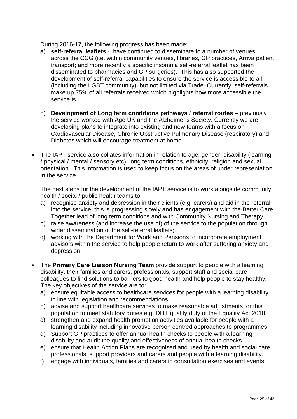During 2016-17, the following progress has been made:

- a) **self-referral leaflets** have continued to disseminate to a number of venues across the CCG (i.e. within community venues, libraries, GP practices, Arriva patient transport; and more recently a specific insomnia self-referral leaflet has been disseminated to pharmacies and GP surgeries). This has also supported the development of self-referral capabilities to ensure the service is accessible to all (including the LGBT community), but not limited via Trade. Currently, self-referrals make up 75% of all referrals received which highlights how more accessible the service is.
- b) **Development of Long term conditions pathways / referral routes** previously the service worked with Age UK and the Alzheimer's Society. Currently we are developing plans to integrate into existing and new teams with a focus on Cardiovascular Disease, Chronic Obstructive Pulmonary Disease (respiratory) and Diabetes which will encourage treatment at home.
- The IAPT service also collates information in relation to age, gender, disability (learning / physical / mental / sensory etc), long term conditions, ethnicity, religion and sexual orientation. This information is used to keep focus on the areas of under representation in the service.

The next steps for the development of the IAPT service is to work alongside community health / social / public health teams to:

- a) recognise anxiety and depression in their clients (e.g. carers) and aid in the referral into the service; this is progressing slowly and has engagement with the Better Care Together lead of long term conditions and with Community Nursing and Therapy.
- b) raise awareness (and increase the use of) of the service to the population through wider dissemination of the self-referral leaflets;
- c) working with the Department for Work and Pensions to incorporate employment advisors within the service to help people return to work after suffering anxiety and depression.
- The **Primary Care Liaison Nursing Team** provide support to people with a learning disability, their families and carers, professionals, support staff and social care colleagues to find solutions to barriers to good health and help people to stay healthy. The key objectives of the service are to:
	- a) ensure equitable access to healthcare services for people with a learning disability in line with legislation and recommendations.
	- b) advise and support healthcare services to make reasonable adjustments for this population to meet statutory duties e.g. DH Equality duty of the Equality Act 2010.
	- c) strengthen and expand health promotion activities available for people with a learning disability including innovative person centred approaches to programmes.
	- d) Support GP practices to offer annual health checks to people with a learning disability and audit the quality and effectiveness of annual health checks.
	- e) ensure that Health Action Plans are recognised and used by health and social care professionals, support providers and carers and people with a learning disability.
	- f) engage with individuals, families and carers in consultation exercises and events;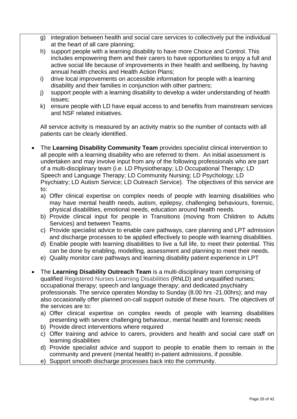- g) integration between health and social care services to collectively put the individual at the heart of all care planning;
- h) support people with a learning disability to have more Choice and Control. This includes empowering them and their carers to have opportunities to enjoy a full and active social life because of improvements in their health and wellbeing, by having annual health checks and Health Action Plans;
- i) drive local improvements on accessible information for people with a learning disability and their families in conjunction with other partners;
- j) support people with a learning disability to develop a wider understanding of health issues;
- k) ensure people with LD have equal access to and benefits from mainstream services and NSF related initiatives.

All service activity is measured by an activity matrix so the number of contacts with all patients can be clearly identified.

- The **Learning Disability Community Team** provides specialist clinical intervention to all people with a learning disability who are referred to them. An initial assessment is undertaken and may involve input from any of the following professionals who are part of a multi-disciplinary team (i.e. LD Physiotherapy; LD Occupational Therapy; LD Speech and Language Therapy; LD Community Nursing; LD Psychology; LD Psychiatry; LD Autism Service; LD Outreach Service). The objectives of this service are to:
	- a) Offer clinical expertise on complex needs of people with learning disabilities who may have mental health needs, autism, epilepsy, challenging behaviours, forensic, physical disabilities, emotional needs, education around health needs.
	- b) Provide clinical input for people in Transitions (moving from Children to Adults Services) and between Teams.
	- c) Provide specialist advice to enable care pathways, care planning and LPT admission and discharge processes to be applied effectively to people with learning disabilities.
	- d) Enable people with learning disabilities to live a full life, to meet their potential. This can be done by enabling, modelling, assessment and planning to meet their needs.
	- e) Quality monitor care pathways and learning disability patient experience in LPT
- The **Learning Disability Outreach Team** is a multi-disciplinary team comprising of qualified Registered Nurses Learning Disabilities (RNLD) and unqualified nurses; occupational therapy; speech and language therapy; and dedicated psychiatry professionals. The service operates Monday to Sunday (8.00 hrs -21.00hrs); and may also occasionally offer planned on-call support outside of these hours. The objectives of the services are to:
	- a) Offer clinical expertise on complex needs of people with learning disabilities presenting with severe challenging behaviour, mental health and forensic needs
	- b) Provide direct interventions where required
	- c) Offer training and advice to carers, providers and health and social care staff on learning disabilities
	- d) Provide specialist advice and support to people to enable them to remain in the community and prevent (mental health) in-patient admissions, if possible.
	- e) Support smooth discharge processes back into the community.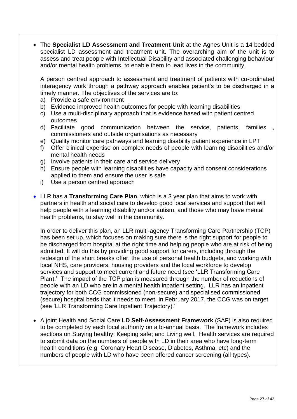The **Specialist LD Assessment and Treatment Unit** at the Agnes Unit is a 14 bedded specialist LD assessment and treatment unit. The overarching aim of the unit is to assess and treat people with Intellectual Disability and associated challenging behaviour and/or mental health problems, to enable them to lead lives in the community.

A person centred approach to assessment and treatment of patients with co-ordinated interagency work through a pathway approach enables patient's to be discharged in a timely manner. The objectives of the services are to:

- a) Provide a safe environment
- b) Evidence improved health outcomes for people with learning disabilities
- c) Use a multi-disciplinary approach that is evidence based with patient centred outcomes
- d) Facilitate good communication between the service, patients, families commissioners and outside organisations as necessary
- e) Quality monitor care pathways and learning disability patient experience in LPT
- f) Offer clinical expertise on complex needs of people with learning disabilities and/or mental health needs
- g) Involve patients in their care and service delivery
- h) Ensure people with learning disabilities have capacity and consent considerations applied to them and ensure the user is safe
- i) Use a person centred approach
- LLR has a **Transforming Care Plan**, which is a 3 year plan that aims to work with partners in health and social care to develop good local services and support that will help people with a learning disability and/or autism, and those who may have mental health problems, to stay well in the community.

In order to deliver this plan, an LLR multi-agency Transforming Care Partnership (TCP) has been set up, which focuses on making sure there is the right support for people to be discharged from hospital at the right time and helping people who are at risk of being admitted. It will do this by providing good support for carers, including through the redesign of the short breaks offer, the use of personal health budgets, and working with local NHS, care providers, housing providers and the local workforce to develop services and support to meet current and future need (see 'LLR Transforming Care Plan).' The impact of the TCP plan is measured through the number of reductions of people with an LD who are in a mental health inpatient setting. LLR has an inpatient trajectory for both CCG commissioned (non-secure) and specialised commissioned (secure) hospital beds that it needs to meet. In February 2017, the CCG was on target (see 'LLR Transforming Care Inpatient Trajectory).'

 A joint Health and Social Care **LD Self-Assessment Framework** (SAF) is also required to be completed by each local authority on a bi-annual basis. The framework includes sections on Staying healthy; Keeping safe; and Living well. Health services are required to submit data on the numbers of people with LD in their area who have long-term health conditions (e.g. Coronary Heart Disease, Diabetes, Asthma, etc) and the numbers of people with LD who have been offered cancer screening (all types).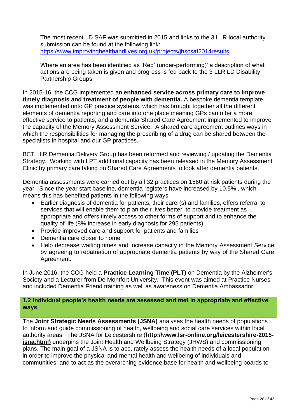The most recent LD SAF was submitted in 2015 and links to the 3 LLR local authority submission can be found at the following link: <https://www.improvinghealthandlives.org.uk/projects/jhscsaf2014results>

Where an area has been identified as 'Red' (under-performing)' a description of what actions are being taken is given and progress is fed back to the 3 LLR LD Disability Partnership Groups.

In 2015-16, the CCG implemented an **enhanced service across primary care to improve timely diagnosis and treatment of people with dementia.** A bespoke dementia template was implemented onto GP practice systems, which has brought together all the different elements of dementia reporting and care into one place meaning GPs can offer a more effective service to patients; and a dementia Shared Care Agreement implemented to improve the capacity of the Memory Assessment Service. A shared care agreement outlines ways in which the responsibilities for managing the prescribing of a drug can be shared between the specialists in hospital and our GP practices.

BCT LLR Dementia Delivery Group has been reformed and reviewing / updating the Dementia Strategy. Working with LPT additional capacity has been released in the Memory Assessment Clinic by primary care taking on Shared Care Agreements to look after dementia patients.

Dementia assessments were carried out by all 32 practices on 1560 at risk patients during the year. Since the year start baseline, dementia registers have increased by 10.5% , which means this has benefited patients in the following ways:

- Earlier diagnosis of dementia for patients, their carer(s) and families, offers referral to services that will enable them to plan their lives better, to provide treatment as appropriate and offers timely access to other forms of support and to enhance the quality of life (8% increase in early diagnosis for 295 patients)
- Provide improved care and support for patients and families
- Dementia care closer to home
- Help decrease waiting times and increase capacity in the Memory Assessment Service by agreeing to repatriation of appropriate dementia patients by way of the Shared Care Agreement.

In June 2016, the CCG held a **Practice Learning Time (PLT)** on Dementia by the Alzheimer's Society and a Lecturer from De Montfort University. This event was aimed at Practice Nurses and included Dementia Friend training as well as awareness on Dementia Ambassador.

**1.2 Individual people's health needs are assessed and met in appropriate and effective ways**

The **Joint Strategic Needs Assessments (JSNA)** analyses the health needs of populations to inform and guide commissioning of health, wellbeing and social care services within local authority areas. The JSNA for Leicestershire (**[http://www.lsr-online.org/leicestershire-2015](http://www.lsr-online.org/leicestershire-2015-jsna.html) [jsna.html\)](http://www.lsr-online.org/leicestershire-2015-jsna.html)** underpins the Joint Health and Wellbeing Strategy (JHWS) and commissioning plans. The main goal of a JSNA is to accurately assess the health needs of a local population in order to improve the physical and mental health and wellbeing of individuals and communities; and to act as the overarching evidence base for health and wellbeing boards to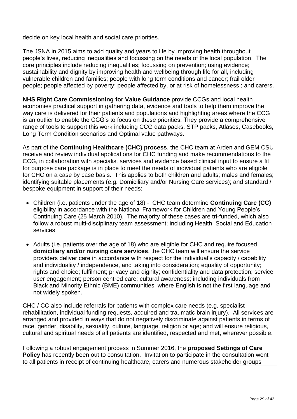decide on key local health and social care priorities.

The JSNA in 2015 aims to add quality and years to life by improving health throughout people's lives, reducing inequalities and focussing on the needs of the local population. The core principles include reducing inequalities; focussing on prevention; using evidence; sustainability and dignity by improving health and wellbeing through life for all, including vulnerable children and families; people with long term conditions and cancer; frail older people; people affected by poverty; people affected by, or at risk of homelessness ; and carers.

**NHS Right Care Commissioning for Value Guidance** provide CCGs and local health economies practical support in gathering data, evidence and tools to help them improve the way care is delivered for their patients and populations and highlighting areas where the CCG is an outlier to enable the CCG's to focus on these priorities. They provide a comprehensive range of tools to support this work including CCG data [packs,](https://www.england.nhs.uk/rightcare/intel/cfv/data-packs/) STP [packs,](https://www.england.nhs.uk/rightcare/intel/cfv/stp-footprints/) [Atlases,](https://www.england.nhs.uk/rightcare/intel/cfv/atlas/) [Casebooks,](https://www.england.nhs.uk/rightcare/intel/cfv/casebooks/) Long Term Condition [scenarios](https://www.england.nhs.uk/rightcare/intel/cfv/ltc/) and Optimal value [pathways.](https://www.england.nhs.uk/rightcare/intel/cfv/cvd-pathway/)

As part of the **Continuing Healthcare (CHC) process**, the CHC team at Arden and GEM CSU receive and review individual applications for CHC funding and make recommendations to the CCG, in collaboration with specialist services and evidence based clinical input to ensure a fit for purpose care package is in place to meet the needs of individual patients who are eligible for CHC on a case by case basis. This applies to both children and adults; males and females; identifying suitable placements (e.g. Domiciliary and/or Nursing Care services); and standard / bespoke equipment in support of their needs:

- Children (i.e. patients under the age of 18) CHC team determine **Continuing Care (CC)**  eligibility in accordance with the National Framework for Children and Young People's Continuing Care (25 March 2010). The majority of these cases are tri-funded, which also follow a robust multi-disciplinary team assessment; including Health, Social and Education services.
- Adults (i.e. patients over the age of 18) who are eligible for CHC and require focused **domiciliary and/or nursing care services**, the CHC team will ensure the service providers deliver care in accordance with respect for the individual's capacity / capability and individuality / independence, and taking into consideration; equality of opportunity; rights and choice; fulfilment; privacy and dignity; confidentiality and data protection; service user engagement; person centred care; cultural awareness; including individuals from Black and Minority Ethnic (BME) communities, where English is not the first language and not widely spoken.

CHC / CC also include referrals for patients with complex care needs (e.g. specialist rehabilitation, individual funding requests, acquired and traumatic brain injury). All services are arranged and provided in ways that do not negatively discriminate against patients in terms of race, gender, disability, sexuality, culture, language, religion or age; and will ensure religious, cultural and spiritual needs of all patients are identified, respected and met, wherever possible.

Following a robust engagement process in Summer 2016, the **proposed Settings of Care Policy** has recently been out to consultation. Invitation to participate in the consultation went to all patients in receipt of continuing healthcare, carers and numerous stakeholder groups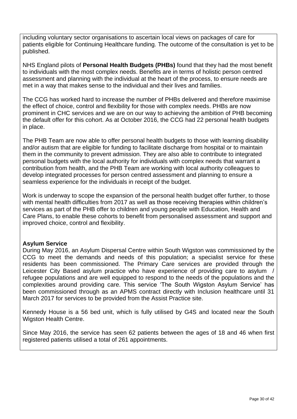including voluntary sector organisations to ascertain local views on packages of care for patients eligible for Continuing Healthcare funding. The outcome of the consultation is yet to be published.

NHS England pilots of **Personal Health Budgets (PHBs)** found that they had the most benefit to individuals with the most complex needs. Benefits are in terms of holistic person centred assessment and planning with the individual at the heart of the process, to ensure needs are met in a way that makes sense to the individual and their lives and families.

The CCG has worked hard to increase the number of PHBs delivered and therefore maximise the effect of choice, control and flexibility for those with complex needs. PHBs are now prominent in CHC services and we are on our way to achieving the ambition of PHB becoming the default offer for this cohort. As at October 2016, the CCG had 22 personal health budgets in place.

The PHB Team are now able to offer personal health budgets to those with learning disability and/or autism that are eligible for funding to facilitate discharge from hospital or to maintain them in the community to prevent admission. They are also able to contribute to integrated personal budgets with the local authority for individuals with complex needs that warrant a contribution from health, and the PHB Team are working with local authority colleagues to develop integrated processes for person centred assessment and planning to ensure a seamless experience for the individuals in receipt of the budget.

Work is underway to scope the expansion of the personal health budget offer further, to those with mental health difficulties from 2017 as well as those receiving therapies within children's services as part of the PHB offer to children and young people with Education, Health and Care Plans, to enable these cohorts to benefit from personalised assessment and support and improved choice, control and flexibility.

#### **Asylum Service**

During May 2016, an Asylum Dispersal Centre within South Wigston was commissioned by the CCG to meet the demands and needs of this population; a specialist service for these residents has been commissioned. The Primary Care services are provided through the Leicester City Based asylum practice who have experience of providing care to asylum / refugee populations and are well equipped to respond to the needs of the populations and the complexities around providing care. This service 'The South Wigston Asylum Service' has been commissioned through as an APMS contract directly with Inclusion healthcare until 31 March 2017 for services to be provided from the Assist Practice site.

Kennedy House is a 56 bed unit, which is fully utilised by G4S and located near the South Wigston Health Centre.

Since May 2016, the service has seen 62 patients between the ages of 18 and 46 when first registered patients utilised a total of 261 appointments.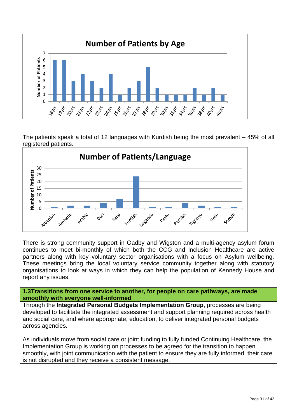

The patients speak a total of 12 languages with Kurdish being the most prevalent – 45% of all registered patients.



There is strong community support in Oadby and Wigston and a multi-agency asylum forum continues to meet bi-monthly of which both the CCG and Inclusion Healthcare are active partners along with key voluntary sector organisations with a focus on Asylum wellbeing. These meetings bring the local voluntary service community together along with statutory organisations to look at ways in which they can help the population of Kennedy House and report any issues.

**1.3Transitions from one service to another, for people on care pathways, are made smoothly with everyone well-informed**

Through the **Integrated Personal Budgets Implementation Group**, processes are being developed to facilitate the integrated assessment and support planning required across health and social care, and where appropriate, education, to deliver integrated personal budgets across agencies.

As individuals move from social care or joint funding to fully funded Continuing Healthcare, the Implementation Group is working on processes to be agreed for the transition to happen smoothly, with joint communication with the patient to ensure they are fully informed, their care is not disrupted and they receive a consistent message.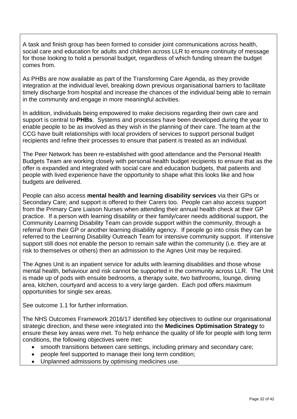A task and finish group has been formed to consider joint communications across health, social care and education for adults and children across LLR to ensure continuity of message for those looking to hold a personal budget, regardless of which funding stream the budget comes from.

As PHBs are now available as part of the Transforming Care Agenda, as they provide integration at the individual level, breaking down previous organisational barriers to facilitate timely discharge from hospital and increase the chances of the individual being able to remain in the community and engage in more meaningful activities.

In addition, individuals being empowered to make decisions regarding their own care and support is central to **PHBs**. Systems and processes have been developed during the year to enable people to be as involved as they wish in the planning of their care. The team at the CCG have built relationships with local providers of services to support personal budget recipients and refine their processes to ensure that patient is treated as an individual.

The Peer Network has been re-established with good attendance and the Personal Health Budgets Team are working closely with personal health budget recipients to ensure that as the offer is expanded and integrated with social care and education budgets, that patients and people with lived experience have the opportunity to shape what this looks like and how budgets are delivered.

People can also access **mental health and learning disability services** via their GPs or Secondary Care; and support is offered to their Carers too. People can also access support from the Primary Care Liaison Nurses when attending their annual health check at their GP practice. If a person with learning disability or their family/carer needs additional support, the Community Learning Disability Team can provide support within the community, through a referral from their GP or another learning disability agency. If people go into crisis they can be referred to the Learning Disability Outreach Team for intensive community support. If intensive support still does not enable the person to remain safe within the community (i.e. they are at risk to themselves or others) then an admission to the Agnes Unit may be required.

The Agnes Unit is an inpatient service for adults with learning disabilities and those whose mental health, behaviour and risk cannot be supported in the community across LLR. The Unit is made up of pods with ensuite bedrooms, a therapy suite, two bathrooms, lounge, dining area, kitchen, courtyard and access to a very large garden. Each pod offers maximum opportunities for single sex areas.

See outcome 1.1 for further information.

The NHS Outcomes Framework 2016/17 identified key objectives to outline our organisational strategic direction, and these were integrated into the **Medicines Optimisation Strategy** to ensure these key areas were met. To help enhance the quality of life for people with long term conditions, the following objectives were met:

- smooth transitions between care settings, including primary and secondary care;
- people feel supported to manage their long term condition;
- Unplanned admissions by optimising medicines use.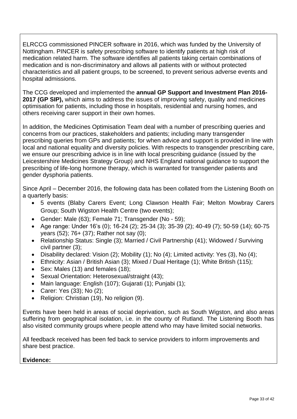ELRCCG commissioned PINCER software in 2016, which was funded by the University of Nottingham. PINCER is safety prescribing software to identify patients at high risk of medication related harm. The software identifies all patients taking certain combinations of medication and is non-discriminatory and allows all patients with or without protected characteristics and all patient groups, to be screened, to prevent serious adverse events and hospital admissions.

The CCG developed and implemented the **annual GP Support and Investment Plan 2016- 2017 (GP SIP),** which aims to address the issues of improving safety, quality and medicines optimisation for patients, including those in hospitals, residential and nursing homes, and others receiving carer support in their own homes.

In addition, the Medicines Optimisation Team deal with a number of prescribing queries and concerns from our practices, stakeholders and patients; including many transgender prescribing queries from GPs and patients; for when advice and support is provided in line with local and national equality and diversity policies. With respects to transgender prescribing care, we ensure our prescribing advice is in line with local prescribing guidance (issued by the Leicestershire Medicines Strategy Group) and NHS England national guidance to support the prescribing of life-long hormone therapy, which is warranted for transgender patients and gender dysphoria patients.

Since April – December 2016, the following data has been collated from the Listening Booth on a quarterly basis:

- 5 events (Blaby Carers Event; Long Clawson Health Fair; Melton Mowbray Carers Group; South Wigston Health Centre (two events);
- Gender: Male (63); Female 71; Transgender (No 59);
- Age range: Under 16's (0); 16-24 (2); 25-34 (3); 35-39 (2); 40-49 (7); 50-59 (14); 60-75 years (52); 76+ (37); Rather not say (0);
- Relationship Status: Single (3); Married / Civil Partnership (41); Widowed / Surviving civil partner (3);
- $\bullet$  Disability declared: Vision (2); Mobility (1); No (4); Limited activity: Yes (3), No (4);
- Ethnicity: Asian / British Asian (3); Mixed / Dual Heritage (1); White British (115);
- Sex: Males (13) and females (18);
- Sexual Orientation: Heterosexual/straight (43);
- Main language: English (107); Gujarati (1); Punjabi (1);
- Carer: Yes (33); No (2);
- Religion: Christian (19), No religion (9).

Events have been held in areas of social deprivation, such as South Wigston, and also areas suffering from geographical isolation, i.e. in the county of Rutland. The Listening Booth has also visited community groups where people attend who may have limited social networks.

All feedback received has been fed back to service providers to inform improvements and share best practice.

#### **Evidence:**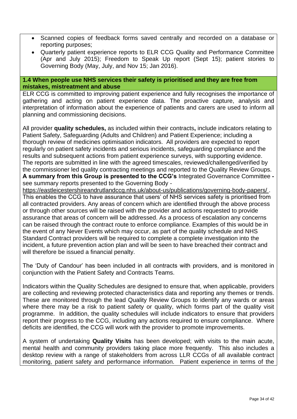- Scanned copies of feedback forms saved centrally and recorded on a database or reporting purposes;
- Quarterly patient experience reports to ELR CCG Quality and Performance Committee (Apr and July 2015); Freedom to Speak Up report (Sept 15); patient stories to Governing Body (May, July, and Nov 15; Jan 2016).

#### **1.4 When people use NHS services their safety is prioritised and they are free from mistakes, mistreatment and abuse**

ELR CCG is committed to improving patient experience and fully recognises the importance of gathering and acting on patient experience data. The proactive capture, analysis and interpretation of information about the experience of patients and carers are used to inform all planning and commissioning decisions.

All provider **quality schedules,** as included within their contracts**,** include indicators relating to Patient Safety, Safeguarding (Adults and Children) and Patient Experience; including a thorough review of medicines optimisation indicators. All providers are expected to report regularly on patient safety incidents and serious incidents, safeguarding compliance and the results and subsequent actions from patient experience surveys, with supporting evidence. The reports are submitted in line with the agreed timescales, reviewed/challenged/verified by the commissioner led quality contracting meetings and reported to the Quality Review Groups. **A summary from this Group is presented to the CCG's** Integrated Governance Committee  see summary reports presented to the Governing Body -

<https://eastleicestershireandrutlandccg.nhs.uk/about-us/publications/governing-body-papers/> . This enables the CCG to have assurance that users' of NHS services safety is prioritised from all contracted providers. Any areas of concern which are identified through the above process or through other sources will be raised with the provider and actions requested to provide assurance that areas of concern will be addressed. As a process of escalation any concerns can be raised through the contract route to enforce compliance. Examples of this would be in the event of any Never Events which may occur, as part of the quality schedule and NHS Standard Contract providers will be required to complete a complete investigation into the incident, a future prevention action plan and will be seen to have breached their contract and will therefore be issued a financial penalty.

The 'Duty of Candour' has been included in all contracts with providers, and is monitored in conjunction with the Patient Safety and Contracts Teams.

Indicators within the Quality Schedules are designed to ensure that, when applicable, providers are collecting and reviewing protected characteristics data and reporting any themes or trends. These are monitored through the lead Quality Review Groups to identify any wards or areas where there may be a risk to patient safety or quality, which forms part of the quality visit programme. In addition, the quality schedules will include indicators to ensure that providers report their progress to the CCG, including any actions required to ensure compliance. Where deficits are identified, the CCG will work with the provider to promote improvements.

A system of undertaking **Quality Visits** has been developed; with visits to the main acute, mental health and community providers taking place more frequently. This also includes a desktop review with a range of stakeholders from across LLR CCGs of all available contract monitoring, patient safety and performance information. Patient experience in terms of the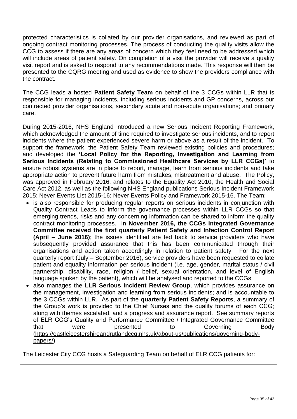protected characteristics is collated by our provider organisations, and reviewed as part of ongoing contract monitoring processes. The process of conducting the quality visits allow the CCG to assess if there are any areas of concern which they feel need to be addressed which will include areas of patient safety. On completion of a visit the provider will receive a quality visit report and is asked to respond to any recommendations made. This response will then be presented to the CQRG meeting and used as evidence to show the providers compliance with the contract.

The CCG leads a hosted **Patient Safety Team** on behalf of the 3 CCGs within LLR that is responsible for managing incidents, including serious incidents and GP concerns, across our contracted provider organisations, secondary acute and non-acute organisations; and primary care.

During 2015-2016, NHS England introduced a new Serious Incident Reporting Framework, which acknowledged the amount of time required to investigate serious incidents, and to report incidents where the patient experienced severe harm or above as a result of the incident. To support the framework, the Patient Safety Team reviewed existing policies and procedures; and developed the **'Local Policy for the Reporting, Investigation and Learning from Serious Incidents (Relating to Commissioned Healthcare Services by LLR CCGs)'** to ensure robust systems are in place to report, manage, learn from serious incidents and take appropriate action to prevent future harm from mistakes, mistreatment and abuse. The Policy, was approved in February 2016, and relates to the Equality Act 2010, the Health and Social Care Act 2012, as well as the following NHS England publications Serious Incident Framework 2015; Never Events List 2015-16; Never Events Policy and Framework 2015-16. The Team:

- is also responsible for producing regular reports on serious incidents in conjunction with Quality Contract Leads to inform the governance processes within LLR CCGs so that emerging trends, risks and any concerning information can be shared to inform the quality contract monitoring processes. In **November 2016, the CCGs Integrated Governance Committee received the first quarterly Patient Safety and Infection Control Report (April – June 2016)**; the issues identified are fed back to service providers who have subsequently provided assurance that this has been communicated through their organisations and action taken accordingly in relation to patient safety. For the next quarterly report (July – September 2016), service providers have been requested to collate patient and equality information per serious incident (i.e. age, gender, marital status / civil partnership, disability, race, religion / belief, sexual orientation, and level of English language spoken by the patient), which will be analysed and reported to the CCGs;
- also manages the **LLR Serious Incident Review Group**, which provides assurance on the management, investigation and learning from serious incidents; and is accountable to the 3 CCGs within LLR. As part of the **quarterly Patient Safety Reports**, a summary of the Group's work is provided to the Chief Nurses and the quality forums of each CCG; along with themes escalated, and a progress and assurance report. See summary reports of ELR CCG's Quality and Performance Committee / Integrated Governance Committee that were presented to Governing Body [\(https://eastleicestershireandrutlandccg.nhs.uk/about-us/publications/governing-body](https://eastleicestershireandrutlandccg.nhs.uk/about-us/publications/governing-body-papers/)[papers/\)](https://eastleicestershireandrutlandccg.nhs.uk/about-us/publications/governing-body-papers/)

The Leicester City CCG hosts a Safeguarding Team on behalf of ELR CCG patients for: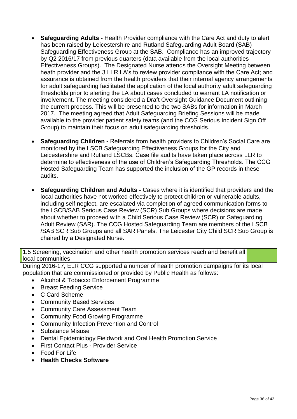- **Safeguarding Adults -** Health Provider compliance with the Care Act and duty to alert has been raised by Leicestershire and Rutland Safeguarding Adult Board (SAB) Safeguarding Effectiveness Group at the SAB. Compliance has an improved trajectory by Q2 2016/17 from previous quarters (data available from the local authorities Effectiveness Groups). The Designated Nurse attends the Oversight Meeting between heath provider and the 3 LLR LA's to review provider compliance with the Care Act; and assurance is obtained from the health providers that their internal agency arrangements for adult safeguarding facilitated the application of the local authority adult safeguarding thresholds prior to alerting the LA about cases concluded to warrant LA notification or involvement. The meeting considered a Draft Oversight Guidance Document outlining the current process. This will be presented to the two SABs for information in March 2017. The meeting agreed that Adult Safeguarding Briefing Sessions will be made available to the provider patient safety teams (and the CCG Serious Incident Sign Off Group) to maintain their focus on adult safeguarding thresholds.
- **Safeguarding Children -** Referrals from health providers to Children's Social Care are monitored by the LSCB Safeguarding Effectiveness Groups for the City and Leicestershire and Rutland LSCBs. Case file audits have taken place across LLR to determine to effectiveness of the use of Children's Safeguarding Thresholds. The CCG Hosted Safeguarding Team has supported the inclusion of the GP records in these audits.
- **Safeguarding Children and Adults -** Cases where it is identified that providers and the local authorities have not worked effectively to protect children or vulnerable adults, including self neglect, are escalated via completion of agreed communication forms to the LSCB/SAB Serious Case Review (SCR) Sub Groups where decisions are made about whether to proceed with a Child Serious Case Review (SCR) or Safeguarding Adult Review (SAR). The CCG Hosted Safeguarding Team are members of the LSCB /SAB SCR Sub Groups and all SAR Panels. The Leicester City Child SCR Sub Group is chaired by a Designated Nurse.

1.5 Screening, vaccination and other health promotion services reach and benefit all local communities

During 2016-17, ELR CCG supported a number of health promotion campaigns for its local population that are commissioned or provided by Public Health as follows:

- Alcohol & Tobacco Enforcement Programme
- Breast Feeding Service
- C Card Scheme
- Community Based Services
- Community Care Assessment Team
- Community Food Growing Programme
- Community Infection Prevention and Control
- Substance Misuse
- Dental Epidemiology Fieldwork and Oral Health Promotion Service
- First Contact Plus Provider Service
- Food For Life
- **Health Checks Software**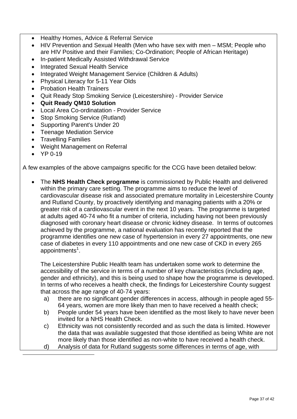- Healthy Homes, Advice & Referral Service
- HIV Prevention and Sexual Health (Men who have sex with men MSM; People who are HIV Positive and their Families; Co-Ordination; People of African Heritage)
- In-patient Medically Assisted Withdrawal Service
- Integrated Sexual Health Service
- Integrated Weight Management Service (Children & Adults)
- Physical Literacy for 5-11 Year Olds
- Probation Health Trainers
- Quit Ready Stop Smoking Service (Leicestershire) Provider Service
- **Quit Ready QM10 Solution**
- Local Area Co-ordinatation Provider Service
- Stop Smoking Service (Rutland)
- Supporting Parent's Under 20
- Teenage Mediation Service
- Travelling Families
- Weight Management on Referral
- $YP 0-19$

-

A few examples of the above campaigns specific for the CCG have been detailed below:

 The **NHS Health Check programme** is commissioned by Public Health and delivered within the primary care setting. The programme aims to reduce the level of cardiovascular disease risk and associated premature mortality in Leicestershire County and Rutland County, by proactively identifying and managing patients with a 20% or greater risk of a cardiovascular event in the next 10 years. The programme is targeted at adults aged 40-74 who fit a number of criteria, including having not been previously diagnosed with coronary heart disease or chronic kidney disease. In terms of outcomes achieved by the programme, a national evaluation has recently reported that the programme identifies one new case of hypertension in every 27 appointments, one new case of diabetes in every 110 appointments and one new case of CKD in every 265 appointments $1$ .

The Leicestershire Public Health team has undertaken some work to determine the accessibility of the service in terms of a number of key characteristics (including age, gender and ethnicity), and this is being used to shape how the programme is developed. In terms of who receives a health check, the findings for Leicestershire County suggest that across the age range of 40-74 years:

- a) there are no significant gender differences in access, although in people aged 55- 64 years, women are more likely than men to have received a health check;
- b) People under 54 years have been identified as the most likely to have never been invited for a NHS Health Check.
- c) Ethnicity was not consistently recorded and as such the data is limited. However the data that was available suggested that those identified as being White are not more likely than those identified as non-white to have received a health check.
- d) Analysis of data for Rutland suggests some differences in terms of age, with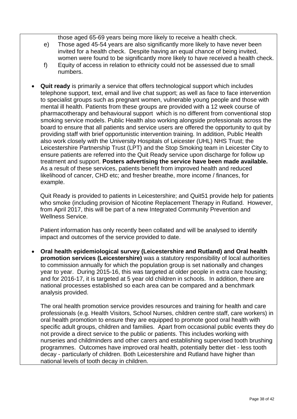those aged 65-69 years being more likely to receive a health check.

- e) Those aged 45-54 years are also significantly more likely to have never been invited for a health check. Despite having an equal chance of being invited, women were found to be significantly more likely to have received a health check.
- f) Equity of access in relation to ethnicity could not be assessed due to small numbers.
- **Quit ready** is primarily a service that offers technological support which includes telephone support, text, email and live chat support; as well as face to face intervention to specialist groups such as pregnant women, vulnerable young people and those with mental ill health. Patients from these groups are provided with a 12 week course of pharmacotherapy and behavioural support which is no different from conventional stop smoking service models. Public Health also working alongside professionals across the board to ensure that all patients and service users are offered the opportunity to quit by providing staff with brief opportunistic intervention training. In addition, Public Health also work closely with the University Hospitals of Leicester (UHL) NHS Trust; the Leicestershire Partnership Trust (LPT) and the Stop Smoking team in Leicester City to ensure patients are referred into the Quit Ready service upon discharge for follow up treatment and support. **Posters advertising the service have been made available.**  As a result of these services, patients benefit from improved health and reduced likelihood of cancer, CHD etc; and fresher breathe, more income / finances, for example.

Quit Ready is provided to patients in Leicestershire; and Quit51 provide help for patients who smoke (including provision of Nicotine Replacement Therapy in Rutland. However, from April 2017, this will be part of a new Integrated Community Prevention and Wellness Service.

Patient information has only recently been collated and will be analysed to identify impact and outcomes of the service provided to date.

 **Oral health epidemiological survey (Leicestershire and Rutland) and Oral health promotion services (Leicestershire)** was a statutory responsibility of local authorities to commission annually for which the population group is set nationally and changes year to year. During 2015-16, this was targeted at older people in extra care housing; and for 2016-17, it is targeted at 5 year old children in schools. In addition, there are national processes established so each area can be compared and a benchmark analysis provided.

The oral health promotion service provides resources and training for health and care professionals (e.g. Health Visitors, School Nurses, children centre staff, care workers) in oral health promotion to ensure they are equipped to promote good oral health with specific adult groups, children and families. Apart from occasional public events they do not provide a direct service to the public or patients. This includes working with nurseries and childminders and other carers and establishing supervised tooth brushing programmes. Outcomes have improved oral health, potentially better diet - less tooth decay - particularly of children. Both Leicestershire and Rutland have higher than national levels of tooth decay in children.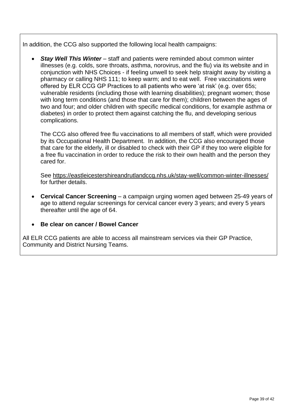In addition, the CCG also supported the following local health campaigns:

 *Stay Well This Winter* – staff and patients were reminded about common winter illnesses (e.g. colds, sore throats, asthma, norovirus, and the flu) via its website and in conjunction with NHS Choices - if feeling unwell to seek help straight away by visiting a pharmacy or calling NHS 111; to keep warm; and to eat well. Free vaccinations were offered by ELR CCG GP Practices to all patients who were 'at risk' (e.g. over 65s; vulnerable residents (including those with learning disabilities); pregnant women; those with long term conditions (and those that care for them); children between the ages of two and four; and older children with specific medical conditions, for example asthma or diabetes) in order to protect them against catching the flu, and developing serious complications.

The CCG also offered free flu vaccinations to all members of staff, which were provided by its Occupational Health Department. In addition, the CCG also encouraged those that care for the elderly, ill or disabled to check with their GP if they too were eligible for a free flu vaccination in order to reduce the risk to their own health and the person they cared for.

See<https://eastleicestershireandrutlandccg.nhs.uk/stay-well/common-winter-illnesses/> for further details.

- **Cervical Cancer Screening** a campaign urging women aged between 25-49 years of age to attend regular screenings for cervical cancer every 3 years; and every 5 years thereafter until the age of 64.
- **Be clear on cancer / Bowel Cancer**

All ELR CCG patients are able to access all mainstream services via their GP Practice, Community and District Nursing Teams.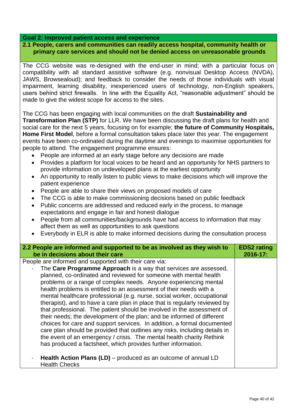#### **Goal 2: Improved patient access and experience**

#### **2.1 People, carers and communities can readily access hospital, community health or primary care services and should not be denied access on unreasonable grounds**

The CCG website was re-designed with the end-user in mind; with a particular focus on compatibility with all standard assistive software (e.g. nonvisual Desktop Access (NVDA), JAWS, Browsealoud); and feedback to consider the needs of those individuals with visual impairment, learning disability, inexperienced users of technology, non-English speakers, users behind strict firewalls. In line with the Equality Act, "reasonable adjustment" should be made to give the widest scope for access to the sites.

The CCG has been engaging with local communities on the draft **Sustainability and Transformation Plan (STP)** for LLR. We have been discussing the draft plans for health and social care for the next 5 years, focusing on for example; **the future of Community Hospitals, Home First Model**, before a formal consultation takes place later this year. The engagement events have been co-ordinated during the daytime and evenings to maximise opportunities for people to attend. The engagement programme ensures:

- People are informed at an early stage before any decisions are made
- Provides a platform for local voices to be heard and an opportunity for NHS partners to provide information on undeveloped plans at the earliest opportunity
- An opportunity to really listen to public views to make decisions which will improve the patient experience
- People are able to share their views on proposed models of care
- The CCG is able to make commissioning decisions based on public feedback
- Public concerns are addressed and reduced early in the process, to manage expectations and engage in fair and honest dialogue
- People from all communities/backgrounds have had access to information that may affect them as well as opportunities to ask questions
- Everybody in ELR is able to make informed decisions during the consultation process

| 2.2 People are informed and supported to be as involved as they wish to<br>be in decisions about their care                                                                                                                                                                                                                                                                                                                                                                                                                                                                                                                                                                                                                                                                                                                                                                                                                                               | <b>EDS2</b> rating<br>2016-17: |
|-----------------------------------------------------------------------------------------------------------------------------------------------------------------------------------------------------------------------------------------------------------------------------------------------------------------------------------------------------------------------------------------------------------------------------------------------------------------------------------------------------------------------------------------------------------------------------------------------------------------------------------------------------------------------------------------------------------------------------------------------------------------------------------------------------------------------------------------------------------------------------------------------------------------------------------------------------------|--------------------------------|
| People are informed and supported with their care via:<br>The Care Programme Approach is a way that services are assessed,<br>planned, co-ordinated and reviewed for someone with mental health<br>problems or a range of complex needs. Anyone experiencing mental<br>health problems is entitled to an assessment of their needs with a<br>mental healthcare professional (e.g. nurse, social worker, occupational<br>therapist), and to have a care plan in place that is regularly reviewed by<br>that professional. The patient should be involved in the assessment of<br>their needs; the development of the plan; and be informed of different<br>choices for care and support services. In addition, a formal documented<br>care plan should be provided that outlines any risks, including details in<br>the event of an emergency / crisis. The mental health charity Rethink<br>has produced a factsheet, which provides further information. |                                |
| Health Action Plans (LD) – produced as an outcome of annual LD<br><b>Health Checks</b>                                                                                                                                                                                                                                                                                                                                                                                                                                                                                                                                                                                                                                                                                                                                                                                                                                                                    |                                |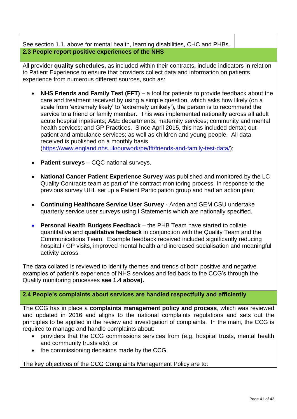See section 1.1. above for mental health, learning disabilities, CHC and PHBs. **2.3 People report positive experiences of the NHS**

All provider **quality schedules,** as included within their contracts**,** include indicators in relation to Patient Experience to ensure that providers collect data and information on patients experience from numerous different sources, such as:

- **NHS Friends and Family Test (FFT)** a tool for patients to provide feedback about the care and treatment received by using a simple question, which asks how likely (on a scale from 'extremely likely' to 'extremely unlikely'), the person is to recommend the service to a friend or family member. This was implemented nationally across all adult acute hospital inpatients; A&E departments; maternity services; community and mental health services; and GP Practices. Since April 2015, this has included dental; outpatient and ambulance services; as well as children and young people. All data received is published on a monthly basis [\(https://www.england.nhs.uk/ourwork/pe/fft/friends-and-family-test-data/\)](https://www.england.nhs.uk/ourwork/pe/fft/friends-and-family-test-data/);
- **Patient surveys** CQC national surveys.
- **National Cancer Patient Experience Survey** was published and monitored by the LC Quality Contracts team as part of the contract monitoring process. In response to the previous survey UHL set up a Patient Participation group and had an action plan;
- **Continuing Healthcare Service User Survey** Arden and GEM CSU undertake quarterly service user surveys using I Statements which are nationally specified.
- **Personal Health Budgets Feedback** the PHB Team have started to collate quantitative and **qualitative feedback** in conjunction with the Quality Team and the Communications Team. Example feedback received included significantly reducing hospital / GP visits, improved mental health and increased socialisation and meaningful activity across.

The data collated is reviewed to identify themes and trends of both positive and negative examples of patient's experience of NHS services and fed back to the CCG's through the Quality monitoring processes **see 1.4 above).**

#### **2.4 People's complaints about services are handled respectfully and efficiently**

The CCG has in place a **complaints management policy and process**, which was reviewed and updated in 2016 and aligns to the national complaints regulations and sets out the principles to be applied in the review and investigation of complaints. In the main, the CCG is required to manage and handle complaints about:

- providers that the CCG commissions services from (e.g. hospital trusts, mental health and community trusts etc); or
- the commissioning decisions made by the CCG.

The key objectives of the CCG Complaints Management Policy are to: